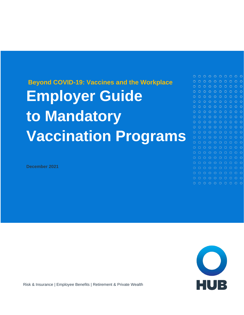# **Beyond COVID-19: Vaccines and the Workplace Employer Guide to Mandatory Vaccination Programs**

**December 2021**



 $\circ$ 

 $O$   $O$ 

 $\Omega$ 

 $\bigcap$ 

 $O$   $O$ 

 $O$   $O$ 

o o



Risk & Insurance | Employee Benefits | Retirement & Private Wealth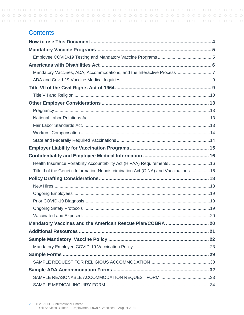### **Contents**

| Health Insurance Portability Accountability Act (HIPAA) Requirements 16             |  |
|-------------------------------------------------------------------------------------|--|
| Title II of the Genetic Information Nondiscrimination Act (GINA) and Vaccinations16 |  |
|                                                                                     |  |
|                                                                                     |  |
|                                                                                     |  |
|                                                                                     |  |
|                                                                                     |  |
|                                                                                     |  |
|                                                                                     |  |
|                                                                                     |  |
|                                                                                     |  |
|                                                                                     |  |
|                                                                                     |  |
|                                                                                     |  |
|                                                                                     |  |
|                                                                                     |  |
|                                                                                     |  |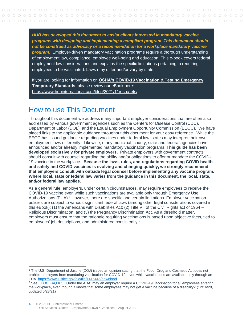*HUB has developed this document to assist clients interested in mandatory vaccine programs with designing and implementing a compliant program. This document should not be construed as advocacy or a recommendation for a workplace mandatory vaccine program.* Employer-driven mandatory vaccination programs require a thorough understanding of employment law, compliance, employee well-being and education. This e-book covers federal employment law considerations and explains the specific limitations pertaining to requiring employees to be vaccinated. Laws may differ and/or vary by state.

If you are looking for information on **[OSHA's COVID-19 Vaccination & Testing Emergency](https://www.hubinternational.com/blog/2021/11/osha-ets/)  [Temporary Standards](https://www.hubinternational.com/blog/2021/11/osha-ets/)**, please review our eBook here: <https://www.hubinternational.com/blog/2021/11/osha-ets/>

### <span id="page-3-0"></span>How to use This Document

Throughout this document we address many important employer considerations that are often also addressed by various government agencies such as the Centers for Disease Control (CDC), Department of Labor (DOL), and the Equal Employment Opportunity Commission (EEOC). We have placed links to the applicable guidance throughout this document for your easy reference. While the EEOC has issued guidance regarding vaccines under federal law, states may interpret their own employment laws differently. Likewise, many municipal, county, state and federal agencies have announced and/or already implemented mandatory vaccination programs. **This guide has been developed exclusively for private employers.** Private employers with government contracts should consult with counsel regarding the ability and/or obligations to offer or mandate the COVID-19 vaccine in the workplace. **Because the laws, rules, and regulations regarding COVID health and safety and COVID vaccines is evolving and changing quickly, we strongly recommend that employers consult with outside legal counsel before implementing any vaccine program. Where local, state or federal law varies from the guidance in this document, the local, state, and/or federal law applies.** 

As a general rule, employers, under certain circumstances, may require employees to receive the COVID-19 vaccine even while such vaccinations are available only through Emergency Use Authorizations (EUA). <sup>1</sup> However, there are specific and certain limitations. Employer vaccination policies are subject to various significant federal laws (among other legal considerations covered in this eBook): (1) the Americans with Disabilities Act; (2) Title VII of the Civil Rights act of 1964 – Religious Discrimination; and (3) the Pregnancy Discrimination Act. As a threshold matter, employers must ensure that the rationale requiring vaccinations is based upon objective facts, tied to employees' job descriptions, and administered consistently.<sup>2</sup>

<sup>1</sup> The U.S. Department of Justine (DOJ) issued an opinion stating that the Food, Drug and Cosmetic Act does not prohibit employers from mandating vaccination for COVID-19, even while vaccinations are available only through an EUA[. https://www.justice.gov/olc/file/1415446/download](https://www.justice.gov/olc/file/1415446/download) 

<sup>&</sup>lt;sup>2</sup> See [EEOC FAQ](https://www.eeoc.gov/wysk/what-you-should-know-about-covid-19-and-ada-rehabilitation-act-and-other-eeo-laws?utm_content=&utm_medium=email&utm_name=&utm_source=govdelivery&utm_term=) K.5. Under the ADA, may an employer require a COVID-19 vaccination for all employees entering the workplace, even though it knows that some employees may not get a vaccine because of a disability? (12/16/20, updated 5/28/21)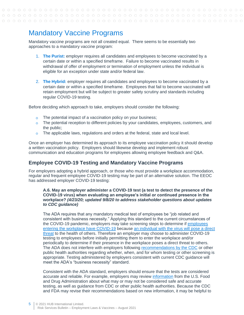### <span id="page-4-0"></span>Mandatory Vaccine Programs

Mandatory vaccine programs are not all created equal. There seems to be essentially two approaches to a mandatory vaccine program:

- 1. **The Purist:** employer requires all candidates and employees to become vaccinated by a certain date or within a specified timeframe. Failure to become vaccinated results in withdrawal of offer of employment or termination of employment unless the individual is eligible for an exception under state and/or federal law.
- 2. **The Hybrid:** employer requires all candidates and employees to become vaccinated by a certain date or within a specified timeframe. Employees that fail to become vaccinated will retain employment but will be subject to greater safety scrutiny and standards including regular COVID-19 testing.

Before deciding which approach to take, employers should consider the following:

- The potential impact of a vaccination policy on your business;  $\overline{O}$
- $\circ$  The potential reception to different policies by your candidates, employees, customers, and the public;
- $\circ$  The applicable laws, regulations and orders at the federal, state and local level.

Once an employer has determined its approach to its employee vaccination policy it should develop a written vaccination policy. Employers should likewise develop and implement robust communication and education programs for employees allowing employee feedback and Q&A.

#### <span id="page-4-1"></span>**Employee COVID-19 Testing and Mandatory Vaccine Programs**

For employers adopting a hybrid approach, or those who must provide a workplace accommodation, regular and frequent employee COVID-19 testing may be part of an alternative solution. The EEOC has addressed employer COVID-19 testing:

#### **A.6. May an employer administer a COVID-19 test (a test to detect the presence of the COVID-19 virus) when evaluating an employee's initial or continued presence in the workplace?** *(4/23/20; updated 9/8/20 to address stakeholder questions about updates to CDC guidance)*

The ADA requires that any mandatory medical test of employees be "job related and consistent with business necessity." Applying this standard to the current circumstances of the COVID-19 pandemic, employers may take screening steps to determine if [employees](https://www.eeoc.gov/wysk/what-you-should-know-about-covid-19-and-ada-rehabilitation-act-and-other-eeo-laws#A.2)  [entering the workplace have COVID-19](https://www.eeoc.gov/wysk/what-you-should-know-about-covid-19-and-ada-rehabilitation-act-and-other-eeo-laws#A.2) because [an individual with the virus will pose a direct](https://www.eeoc.gov/transcript-march-27-2020-outreach-webinar#q1)  [threat](https://www.eeoc.gov/transcript-march-27-2020-outreach-webinar#q1) to the health of others. Therefore an employer may choose to administer COVID-19 testing to employees before initially permitting them to enter the workplace and/or periodically to determine if their presence in the workplace poses a direct threat to others. The ADA does not interfere with employers following [recommendations by the CDC](https://www.cdc.gov/coronavirus/2019-ncov/community/organizations/testing-non-healthcare-workplaces.html) or other public health authorities regarding whether, when, and for whom testing or other screening is appropriate. Testing administered by employers consistent with current CDC guidance will meet the ADA's "business necessity" standard.

Consistent with the ADA standard, employers should ensure that the tests are considered accurate and reliable. For example, employers may review [information](https://www.fda.gov/medical-devices/emergency-situations-medical-devices/faqs-diagnostic-testing-sars-cov-2) from the U.S. Food and Drug Administration about what may or may not be considered safe and accurate testing, as well as guidance from CDC or other public health authorities. Because the CDC and FDA may revise their recommendations based on new information, it may be helpful to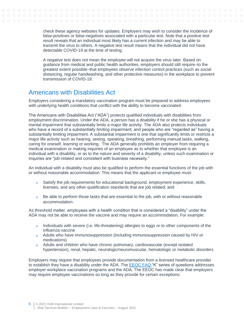check these agency websites for updates. Employers may wish to consider the incidence of false-positives or false-negatives associated with a particular test. Note that a positive test result reveals that an individual most likely has a current infection and may be able to transmit the virus to others. A negative test result means that the individual did not have detectable COVID-19 at the time of testing.

A negative test does not mean the employee will not acquire the virus later. Based on guidance from medical and public health authorities, employers should still require–to the greatest extent possible–that employees observe infection control practices (such as social distancing, regular handwashing, and other protective measures) in the workplace to prevent transmission of COVID-19.

### <span id="page-5-0"></span>Americans with Disabilities Act

Employers considering a mandatory vaccination program must be prepared to address employees with underlying health conditions that conflict with the ability to become vaccinated.

The Americans with Disabilities Act ("ADA") protects qualified individuals with disabilities from employment discrimination. Under the ADA, a person has a disability if he or she has a physical or mental impairment that substantially limits a major life activity. The ADA also protects individuals who have a record of a substantially limiting impairment, and people who are "regarded as" having a substantially limiting impairment. A substantial impairment is one that significantly limits or restricts a major life activity such as hearing, seeing, speaking, breathing, performing manual tasks, walking, caring for oneself, learning or working. The ADA generally prohibits an employer from requiring a medical examination or making inquiries of an employee as to whether that employee is an individual with a disability, or as to the nature and severity of a disability, unless such examination or inquiries are "job-related and consistent with business necessity."

An individual with a disability must also be qualified to perform the essential functions of the job with or without reasonable accommodation. This means that the applicant or employee must:

- $\circ$  Satisfy the job requirements for educational background, employment experience, skills, licenses, and any other qualification standards that are job related; and
- $\circ$  Be able to perform those tasks that are essential to the job, with or without reasonable accommodation.

As threshold matter, employees with a health condition that is considered a "disability" under the ADA may not be able to receive the vaccine and may require an accommodation. For example:

- $\circ$  Individuals with severe (i.e. life-threatening) allergies to eggs or to other components of the influenza vaccine
- Adults who have immunosuppression (including immunosuppression caused by HIV or medications)
- Adults and children who have chronic pulmonary, cardiovascular (except isolated hypertension), renal, hepatic, neurologic/neuromuscular, hematologic or metabolic disorders

Employers may require that employees provide documentation from a licensed healthcare provider to establish they have a disability under the ADA. The [EEOC](https://www.eeoc.gov/wysk/what-you-should-know-about-covid-19-and-ada-rehabilitation-act-and-other-eeo-laws?utm_content=&utm_medium=email&utm_name=&utm_source=govdelivery&utm_term=) FAQ "K" series of questions addresses employer workplace vaccination programs and the ADA. The EEOC has made clear that employers may require employee vaccinations so long as they provide for certain exceptions: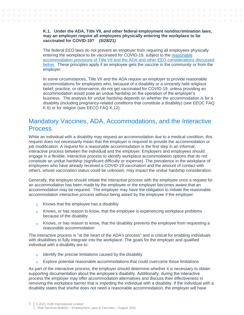#### **K.1. Under the ADA, Title VII, and other federal employment nondiscrimination laws, may an employer require all employees physically entering the workplace to be vaccinated for COVID-19?** *(5/28/21)*

The federal EEO laws do not prevent an employer from requiring all employees physically entering the workplace to be vaccinated for COVID-19, subject to the [reasonable](https://www.eeoc.gov/wysk/what-you-should-know-about-covid-19-and-ada-rehabilitation-act-and-other-eeo-laws#K.5)  [accommodation provisions of Title VII and the ADA and other EEO considerations discussed](https://www.eeoc.gov/wysk/what-you-should-know-about-covid-19-and-ada-rehabilitation-act-and-other-eeo-laws#K.5)  [below.](https://www.eeoc.gov/wysk/what-you-should-know-about-covid-19-and-ada-rehabilitation-act-and-other-eeo-laws#K.5) These principles apply if an employee gets the vaccine in the community or from the employer.

In some circumstances, Title VII and the ADA require an employer to provide reasonable accommodations for employees who, because of a disability or a sincerely held religious belief, practice, or observance, do not get vaccinated for COVID-19, unless providing an accommodation would pose an undue hardship on the operation of the employer's business. The analysis for undue hardship depends on whether the accommodation is for a disability (including pregnancy-related conditions that constitute a disability) (see EEOC FAQ K.6) or for religion (see EECO FAQ K.12).

### <span id="page-6-0"></span>Mandatory Vaccines, ADA, Accommodations, and the Interactive Process

While an individual with a disability may request an accommodation due to a medical condition, this request does not necessarily mean that the employer is required to provide the accommodation or job modification. A request for a reasonable accommodation is the first step in an informal, interactive process between the individual and the employer. Employers and employees should engage in a flexible, interactive process to identify workplace accommodation options that do not constitute an undue hardship (significant difficulty or expense). The prevalence in the workplace of employees who have already received a COVID-19 vaccination and the amount of contact with others, whose vaccination status could be unknown, may impact the undue hardship consideration.

Generally, the employer should initiate the interactive process with the employee once a request for an accommodation has been made by the employee or the employer becomes aware that an accommodation may be required. The employer may have the obligation to initiate the reasonable accommodation interactive process without being asked by the employee if the employer:

- o Knows that the employee has a disability
- $\circ$  Knows, or has reason to know, that the employee is experiencing workplace problems because of the disability
- Knows, or has reason to know, that the disability prevents the employee from requesting a  $\Omega$ reasonable accommodation

The interactive process is "at the heart of the ADA's process" and is critical for enabling individuals with disabilities to fully integrate into the workplace. The goals for the employer and qualified individual with a disability are to:

- Identify the precise limitations caused by the disability  $\circ$
- Explore potential reasonable accommodations that could overcome those limitations  $\overline{O}$

As part of the interactive process, the employer should determine whether it is necessary to obtain supporting documentation about the employee's disability. Additionally, during the interactive process the employer may offer accommodation alternatives and discuss their effectiveness in removing the workplace barrier that is impeding the individual with a disability. If the individual with a disability states that she/he does not need a reasonable accommodation, the employer will have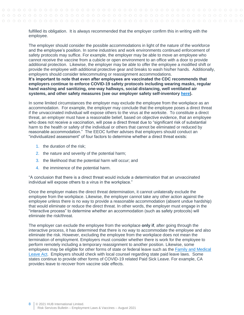fulfilled its obligation. It is always recommended that the employer confirm this in writing with the employee.

The employer should consider the possible accommodations in light of the nature of the workforce and the employee's position. In some industries and work environments continued enforcement of safety protocols may suffice. For example, the employer may be able to move an employee who cannot receive the vaccine from a cubicle or open environment to an office with a door to provide additional protection. Likewise, the employer may be able to offer the employee a modified shift or provide the employee with additional protective gear and breaks to wash his/her hands. Additionally, employers should consider telecommuting or reassignment accommodations. **It's important to note that even after employees are vaccinated the CDC recommends that employers continue to enforce COVID-19 safety protocols including wearing masks, regular hand washing and sanitizing, one-way hallways, social distancing, well ventilated air systems, and other safety measures (see our employer safety self-inventory [here\)](https://www.hubinternational.com/blog/2020/11/covid-workplace-safety-self-inventory/).**

In some limited circumstances the employer may exclude the employee from the workplace as an accommodation. For example, the employer may conclude that the employee poses a direct threat if the unvaccinated individual will expose others to the virus at the worksite. To constitute a direct threat, an employer must have a reasonable belief, based on objective evidence, that an employee who does not receive a vaccination, will pose a direct threat due to "significant risk of substantial harm to the health or safety of the individual or others that cannot be eliminated or reduced by reasonable accommodation." The EEOC further advises that employers should conduct an "individualized assessment" of four factors to determine whether a direct threat exists:

- 1. the duration of the risk;
- 2. the nature and severity of the potential harm;
- 3. the likelihood that the potential harm will occur; and
- 4. the imminence of the potential harm.

"A conclusion that there is a direct threat would include a determination that an unvaccinated individual will expose others to a virus in the workplace."

Once the employer makes the direct threat determination, it cannot unilaterally exclude the employee from the workplace. Likewise, the employer cannot take any other action against the employee unless there is no way to provide a reasonable accommodation (absent [undue hardship\)](https://www.eeoc.gov/wysk/what-you-should-know-about-covid-19-and-ada-rehabilitation-act-and-other-eeo-laws?utm_content=&utm_medium=email&utm_name=&utm_source=govdelivery&utm_term=#D) that would eliminate or reduce the direct threat. In other words, the employer must engage in the "interactive process" to determine whether an accommodation (such as safety protocols) will eliminate the risk/threat.

The employer can exclude the employee from the workplace **only if**, after going through the interactive process, it has determined that there is no way to accommodate the employee and also eliminate the risk. However, excluding the employee from the workplace does not mean the termination of employment. Employers must consider whether there is work for the employee to perform remotely including a temporary reassignment to another position. Likewise, some employees may be eligible for other forms of state or federal leave such as the Family and Medical [Leave Act.](https://www.dol.gov/agencies/whd/fmla) Employers should check with local counsel regarding state paid leave laws. Some states continue to provide other forms of COVID-19 related Paid Sick Leave. For example, CA provides leave to recover from vaccine side effects.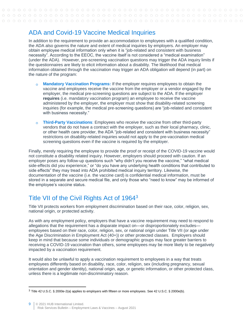### <span id="page-8-0"></span>ADA and Covid-19 Vaccine Medical Inquiries

In addition to the requirement to provide an accommodation to employees with a qualified condition, the ADA also governs the nature and extent of medical inquiries by employers. An employer may obtain employee medical information only when it is "job-related and consistent with business necessity". According to the EEOC, the vaccine itself is not considered a "medical examination" (under the ADA). However, pre-screening vaccination questions may trigger the ADA inquiry limits if the questionnaires are likely to elicit information about a disability. The likelihood that medical information obtained through the vaccination may trigger an ADA obligation will depend (in part) on the nature of the program:

- **Mandatory Vaccination Programs:** If the employer requires employees to obtain the  $\circ$ vaccine and employees receive the vaccine from the employer or a vendor engaged by the employer, the medical pre-screening questions are subject to the ADA. If the employer **requires** (i.e. mandatory vaccination program) an employee to receive the vaccine administered by the employer, the employer must show that disability-related screening inquiries (for example, the medical pre-screening questions) are "job-related and consistent with business necessity."
- **Third-Party Vaccinations**: Employees who receive the vaccine from other third-party  $\Omega$ vendors that do not have a contract with the employer, such as their local pharmacy, clinic, or other health care provider, the ADA "job-related and consistent with business necessity" restrictions on disability-related inquiries would not apply to the pre-vaccination medical screening questions even if the vaccine is required by the employer.

Finally, merely requiring the employee to provide the proof or receipt of the COVID-19 vaccine would not constitute a disability related inquiry. However, employers should proceed with caution. If an employer poses any follow-up questions such "why didn't you receive the vaccine," "what medical side-effects did you experience," or "do you have any underlying health conditions that contributed to side effects" they may tread into ADA prohibited medical inquiry territory. Likewise, the documentation of the vaccine (i.e. the vaccine card) is confidential medical information, must be stored in a separate and secure medical file, and only those who "need to know" may be informed of the employee's vaccine status.

### <span id="page-8-1"></span>Title VII of the Civil Rights Act of 1964<sup>3</sup>

Title VII protects workers from employment discrimination based on their race, color, religion, sex, national origin, or protected activity.

As with any employment policy, employers that have a vaccine requirement may need to respond to allegations that the requirement has a disparate impact on—or disproportionately excludes employees based on their race, color, religion, sex, or national origin under Title VII (or age under the Age Discrimination in Employment Act (40+)) or other protected classes. Employers should keep in mind that because some individuals or demographic groups may face greater barriers to receiving a COVID-19 vaccination than others, some employees may be more likely to be negatively impacted by a vaccination requirement.

It would also be unlawful to apply a vaccination requirement to employees in a way that treats employees differently based on disability, race, color, religion, sex (including pregnancy, sexual orientation and gender identity), national origin, age, or genetic information, or other protected class, unless there is a legitimate non-discriminatory reason.

<sup>3</sup> Title 42 U.S.C. § 2000e-2(a) applies to employers with fifteen or more employees. See 42 U.S.C. § 2000e(b).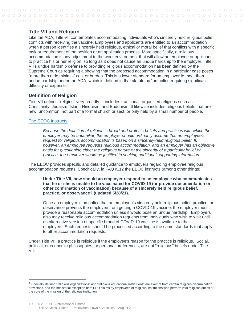### <span id="page-9-0"></span>**Title VII and Religion**

Like the ADA, Title VII contemplates accommodating individuals who's sincerely held religious belief conflicts with receiving the vaccine. Employees and applicants are entitled to an accommodation when a person identifies a sincerely held religious, ethical or moral belief that conflicts with a specific task or requirement of the position or an application process. More specifically, a religious accommodation is any adjustment to the work environment that will allow an employee or applicant to practice his or her religion, so long as it does not cause an undue hardship to the employer. Title VII's undue hardship defense to providing religious accommodation has been defined by the Supreme Court as requiring a showing that the proposed accommodation in a particular case poses "more than a de minimis" cost or burden. This is a lower standard for an employer to meet than undue hardship under the ADA, which is defined in that statute as "an action requiring significant difficulty or expense."

#### **Definition of Religion<sup>4</sup>**

Title VII defines "religion" very broadly. It includes traditional, organized religions such as Christianity, Judaism, Islam, Hinduism, and Buddhism. It likewise includes religious beliefs that are new, uncommon, not part of a formal church or sect, or only held by a small number of people.

#### [The EEOC instructs:](https://www.eeoc.gov/laws/guidance/section-12-religious-discrimination)

*Because the definition of religion is broad and protects beliefs and practices with which the employer may be unfamiliar, the employer should ordinarily assume that an employee's request for religious accommodation is based on a sincerely-held religious belief. If, however, an employee requests religious accommodation, and an employer has an objective basis for questioning either the religious nature or the sincerity of a particular belief or practice, the employer would be justified in seeking additional supporting information.*

The EEOC provides specific and detailed guidance to employers regarding employee religious accommodation requests. Specifically, in FAQ K.12 the EEOC instructs (among other things):

#### **Under Title VII, how should an employer respond to an employee who communicates that he or she is unable to be vaccinated for COVID-19 (or provide documentation or other confirmation of vaccination) because of a sincerely held religious belief, practice, or observance? (updated 5/28/21).**

Once an employer is on notice that an employee's sincerely held religious belief, practice, or observance prevents the employee from getting a COVID-19 vaccine, the employer must provide a reasonable accommodation unless it would pose an undue hardship. Employers also may receive religious accommodation requests from individuals who wish to wait until an alternative version or specific brand of COVID-19 vaccine is available to the employee. Such requests should be processed according to the same standards that apply to other accommodation requests.

Under Title VII, a practice is religious if the employee's reason for the practice is religious. Social, political, or economic philosophies, or personal preferences, are not "religious" beliefs under Title VII.

<sup>&</sup>lt;sup>4</sup> Specially defined "religious organizations" and "religious educational institutions" are exempt from certain religious discrimination provisions, and the ministerial exception bars EEO claims by employees of religious institutions who perform vital religious duties at the core of the mission of the religious institution.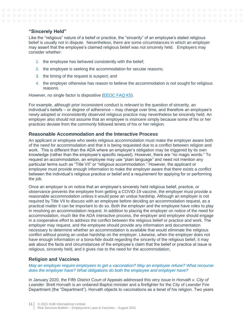#### **"Sincerely Held"**

Like the "religious" nature of a belief or practice, the "sincerity" of an employee's stated religious belief is usually not in dispute. Nevertheless, there are some circumstances in which an employer may assert that the employee's claimed religious belief was not sincerely held. Employers may consider whether:

- 1. the employee has behaved consistently with the belief;
- 2. the employee is seeking the accommodation for secular reasons;
- 3. the timing of the request is suspect; and
- 4. the employer otherwise has reason to believe the accommodation is not sought for religious reasons.

However, no single factor is dispositive [\(EEOC FAQ K5\)](https://www.eeoc.gov/wysk/what-you-should-know-about-covid-19-and-ada-rehabilitation-act-and-other-eeo-laws?utm_content=&utm_medium=email&utm_name=&utm_source=govdelivery&utm_term=).

For example, although prior inconsistent conduct is relevant to the question of sincerity, an individual's beliefs – or degree of adherence – may change over time, and therefore an employee's newly adopted or inconsistently observed religious practice may nevertheless be sincerely held. An employer also should not assume that an employee is insincere simply because some of his or her practices deviate from the commonly followed tenets of his or her religion.

#### **Reasonable Accommodation and the Interactive Process**

An applicant or employee who seeks religious accommodation must make the employer aware both of the need for accommodation and that it is being requested due to a conflict between religion and work. This is different than the ADA where an employer's obligation may be triggered by its own knowledge (rather than the employee's specific request). However, there are "no magic words." To request an accommodation, an employee may use "plain language" and need not mention any particular terms such as "Title VII" or "religious accommodation." However, the applicant or employee must provide enough information to make the employer aware that there exists a conflict between the individual's religious practice or belief and a requirement for applying for or performing the job.

Once an employer is on notice that an employee's sincerely held religious belief, practice, or observance prevents the employee from getting a COVID-19 vaccine, the employer must provide a reasonable accommodation unless it would pose an undue hardship. Although an employer is not required by Title VII to discuss with an employee before deciding an accommodation request, as a practical matter it can be important to do so. Both the employer and the employee have roles to play in resolving an accommodation request. In addition to placing the employer on notice of the need for accommodation, much like the ADA interactive process, the employer and employee should engage in a cooperative effort to address the conflict between the religious belief or practice and work. The employer may request, and the employee should provide any information and documentation necessary to determine whether an accommodation is available that would eliminate the religious conflict without posing an undue hardship on the employer. Likewise, when the employer does not have enough information or a bona-fide doubt regarding the sincerity of the religious belief, it may ask about the facts and circumstances of the employee's claim that the belief or practice at issue is religious, sincerely held, and it gives rise to the need for the accommodation.

#### **Religion and Vaccines**

*May an employer require employees to get a vaccination? May an employee refuse? What recourse does the employer have? What obligations do both the employee and employer have?* 

In January 2020, the Fifth District Court of Appeals addressed this very issue in *Horvath v. City of Leander*. Brett Horvath is an ordained Baptist minister and a firefighter for the City of Leander Fire Department (the "Department"). Horvath objects to vaccinations as a tenet of his religion. Two years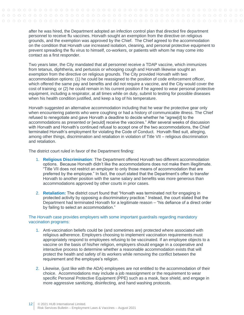after he was hired, the Department adopted an infection control plan that directed fire department personnel to receive flu vaccines. Horvath sought an exemption from the directive on religious grounds, and the exemption was approved by the Chief. The Chief agreed to the accommodation on the condition that Horvath use increased isolation, cleaning, and personal protective equipment to prevent spreading the flu virus to himself, co-workers, or patients with whom he may come into contact as a first responder.

Two years later, the City mandated that all personnel receive a TDAP vaccine, which immunizes from tetanus, diphtheria, and pertussis or whooping cough and Horvath likewise sought an exemption from the directive on religious grounds. The City provided Horvath with two accommodation options: (1) he could be reassigned to the position of code enforcement officer, which offered the same pay and benefits and did not require a vaccine, and the City would cover the cost of training; or (2) he could remain in his current position if he agreed to wear personal protective equipment, including a respirator, at all times while on duty, submit to testing for possible diseases when his health condition justified, and keep a log of his temperature.

Horvath suggested an alternative accommodation including that he wear the protective gear only when encountering patients who were coughing or had a history of communicable illness. The Chief refused to renegotiate and gave Horvath a deadline to decide whether he "agree[d] to the accommodations as presented or [would] receive the vaccines." After several weeks of discussion with Horvath and Horvath's continued refusal to accept one of the two accommodations, the Chief terminated Horvath's employment for violating the Code of Conduct. Horvath filed suit, alleging, among other things, discrimination and retaliation in violation of Title VII – religious discrimination and retaliation.

The district court ruled in favor of the Department finding:

- 1. **Religious Discrimination**: The Department offered Horvath two different accommodation options. Because Horvath didn't like the accommodations does not make them illegitimate. "Title VII does not restrict an employer to only those means of accommodation that are preferred by the employee." In fact, the court stated that the Department's offer to transfer Horvath to another position with the same salary and benefits was more generous than accommodations approved by other courts in prior cases.
- 2. **Retaliation:** The district court found that "Horvath was terminated not for engaging in protected activity by opposing a discriminatory practice." Instead, the court stated that the Department had terminated Horvath for a legitimate reason – "his defiance of a direct order by failing to select an accommodation."

#### The *Horvath* case provides employers with some important guardrails regarding mandatory vaccination programs:

- 1. Anti-vaccination beliefs could be (and sometimes are) protected where associated with religious adherence. Employers choosing to implement vaccination requirements must appropriately respond to employees refusing to be vaccinated. If an employee objects to a vaccine on the basis of his/her religion, employers should engage in a cooperative and interactive process to determine whether a reasonable accommodation exists that will protect the health and safety of its workers while removing the conflict between the requirement and the employee's religion.
- 2. Likewise, (just like with the ADA) employees are not entitled to the accommodation of their choice. Accommodations may include a job reassignment or the requirement to wear specific Personal Protective Equipment (PPE) such as a mask, face shield, and engage in more aggressive sanitizing, disinfecting, and hand washing protocols.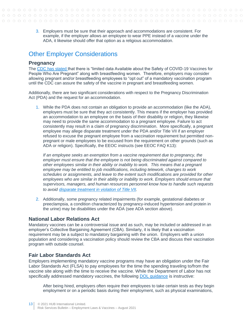3. Employers must be sure that their approach and accommodations are consistent. For example, if the employer allows an employee to wear PPE instead of a vaccine under the ADA, it likewise should offer that option as a religious accommodation.

### <span id="page-12-0"></span>Other Employer Considerations

#### <span id="page-12-1"></span>**Pregnancy**

The [CDC has stated t](https://www.cdc.gov/coronavirus/2019-ncov/vaccines/recommendations/pregnancy.html)hat there is "limited data Available about the Safety of COVID-19 Vaccines for People Who Are Pregnant" along with breastfeeding women. Therefore, employers may consider allowing pregnant and/or breastfeeding employees to "opt out" of a mandatory vaccination program until the CDC can assure the safety of the vaccine in pregnant and breastfeeding women.

Additionally, there are two significant considerations with respect to the Pregnancy Discrimination Act (PDA) and the request for an accommodation.

1. While the PDA does not contain an obligation to provide an accommodation (like the ADA), employers must be sure that they act consistently. This means if the employer has provided an accommodation to an employee on the basis of their disability or religion, they likewise may need to provide the same accommodation to a pregnant employee. Failure to act consistently may result in a claim of pregnancy discrimination. More specifically, a pregnant employee may allege disparate treatment under the PDA and/or Title VII if an employer refused to excuse the pregnant employee from a vaccination requirement but permitted nonpregnant or male employees to be excused from the requirement on other grounds (such as ADA or religion). Specifically, the EEOC instructs (see EEOC FAQ K13):

*If an employee seeks an exemption from a vaccine requirement due to pregnancy, the employer must ensure that the employee is not being discriminated against compared to other employees similar in their ability or inability to work. This means that a pregnant employee may be entitled to job modifications, including telework, changes to work schedules or assignments, and leave to the extent such modifications are provided for other employees who are similar in their ability or inability to work. Employers should ensure that supervisors, managers, and human resources personnel know how to handle such requests to avoid [disparate treatment in violation of Title VII.](https://www.eeoc.gov/wysk/what-you-should-know-about-covid-19-and-ada-rehabilitation-act-and-other-eeo-laws#J.2)*

2. Additionally, some pregnancy related impairments (for example, gestational diabetes or preeclampsia, a condition characterized by pregnancy-induced hypertension and protein in the urine) may be disabilities under the ADA (see ADA section above).

#### <span id="page-12-2"></span>**National Labor Relations Act**

Mandatory vaccines can be a controversial issue and as such, may be included or addressed in an employer's Collective Bargaining Agreement (CBA). Similarly, it is likely that a vaccination requirement may be a subject to mandatory bargaining with the union. Employers with a union population and considering a vaccination policy should review the CBA and discuss their vaccination program with outside counsel.

#### <span id="page-12-3"></span>**Fair Labor Standards Act**

Employers implementing mandatory vaccine programs may have an obligation under the Fair Labor Standards Act (FLSA) to pay employees for the time the spending traveling to/from the vaccine site along with the time to receive the vaccine. While the Department of Labor has not specifically addressed mandatory vaccines, the following [DOL guidance](https://webapps.dol.gov/elaws/whd/flsa/hoursworked/screenEr13.asp) is instructive:

After being hired, employers often require their employees to take certain tests as they begin employment or on a periodic basis during their employment, such as physical examinations,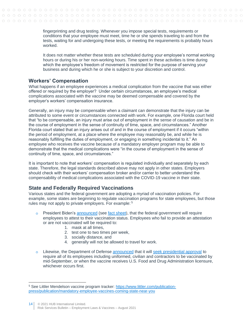fingerprinting and drug testing. Whenever you impose special tests, requirements or conditions that your employee must meet, time he or she spends traveling to and from the tests, waiting for and undergoing these tests, or meeting the requirements is probably hours worked.

It does not matter whether these tests are scheduled during your employee's normal working hours or during his or her non-working hours. Time spent in these activities is time during which the employee's freedom of movement is restricted for the purpose of serving your business and during which he or she is subject to your discretion and control.

#### <span id="page-13-0"></span>**Workers' Compensation**

What happens if an employee experiences a medical complication from the vaccine that was either offered or required by the employer? Under certain circumstances, an employee's medical complications associated with the vaccine may be deemed compensable and covered by the employer's workers' compensation insurance.

Generally, an injury may be compensable when a claimant can demonstrate that the injury can be attributed to some event or circumstances connected with work. For example, one Florida court held that "to be compensable, an injury must arise out of employment in the sense of causation and be in the course of employment in the sense of continuity of time, space, and circumstances." Another Florida court stated that an injury arises out of and in the course of employment if it occurs "within the period of employment, at a place where the employee may reasonably be, and while he is reasonably fulfilling the duties of employment, or engaging in something incidental to it." An employee who receives the vaccine because of a mandatory employer program may be able to demonstrate that the medical complications were "in the course of employment in the sense of continuity of time, space, and circumstances."

It is important to note that workers' compensation is regulated individually and separately by each state. Therefore, the legal standards described above may not apply in other states. Employers should check with their workers' compensation broker and/or carrier to better understand the compensability of medical complications associated with the COVID-19 vaccine in their state.

### <span id="page-13-1"></span>**State and Federally Required Vaccinations**

Various states and the federal government are adopting a myriad of vaccination policies. For example, some states are beginning to regulate vaccination programs for state employees, but those rules may not apply to private employers. For example: <sup>5</sup>

- $\circ$  President Biden's [announced](https://www.whitehouse.gov/briefing-room/speeches-remarks/2021/07/29/remarks-by-president-biden-laying-out-the-next-steps-in-our-effort-to-get-more-americans-vaccinated-and-combat-the-spread-of-the-delta-variant/) (see [fact sheet](https://www.whitehouse.gov/briefing-room/statements-releases/2021/07/29/fact-sheet-president-biden-to-announce-new-actions-to-get-more-americans-vaccinated-and-slow-the-spread-of-the-delta-variant/)), that the federal government will require employees to attest to their vaccination status. Employees who fail to provide an attestation or are not vaccinated will be required to:
	- 1. mask at all times,
	- 2. test one to two times per week,
	- 3. socially distance, and
	- 4. generally will not be allowed to travel for work.
- Likewise, the Department of Defense [announced](https://twitter.com/SecDef/status/1424800074144657409) that it will [seek presidential approval](https://twitter.com/SecDef/status/1424800077034442752/photo/1) to  $\Omega$ require all of its employees including uniformed, civilian and contractors to be vaccinated by mid-September, or when the vaccine receives U.S. Food and Drug Administration licensure, whichever occurs first.

<sup>5</sup> See Littler Mendelson vaccine program tracker: [https://www.littler.com/publication](https://www.littler.com/publication-press/publication/mandatory-employee-vaccines-coming-state-near-you)[press/publication/mandatory-employee-vaccines-coming-state-near-you](https://www.littler.com/publication-press/publication/mandatory-employee-vaccines-coming-state-near-you)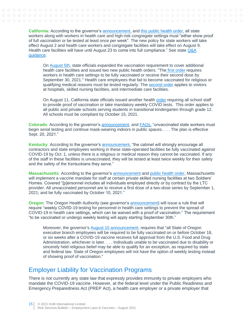**California:** According to the governor's announcement, and this public health order, all state workers along with workers in health c[are and high-risk](https://www.gov.ca.gov/2021/07/26/california-implements-first-in-the-nation-measures-to-encourage-state-employees-and-health-care-workers-to-get-vaccinated/) con[gregate settings must "ei](https://www.cdph.ca.gov/Programs/CID/DCDC/Pages/COVID-19/Order-of-the-State-Public-Health-Officer-Unvaccinated-Workers-In-High-Risk-Settings.aspx)ther show proof of full vaccination or be tested at least once per week". The new policy for state workers will take effect August 2 and health care workers and congregate facilities will take effect on August 9. Health care facilities will have until August 23 to come into full compliance." See state Q&A [guidance.](https://www.cdph.ca.gov/Programs/CID/DCDC/Pages/COVID-19/Unvaccinated-Workers-in-High-Risk-Settings-State-Public-Health-Order-FAQ.aspx)

On [August 5th,](https://www.cdph.ca.gov/Programs/OPA/Pages/NR21-242.aspx) state officials expanded the vaccination requirement to cover additional health care facilities and issued two new public health orders. "The [first order](https://www.cdph.ca.gov/Programs/CID/DCDC/Pages/COVID-19/Order-of-the-State-Public-Health-Officer-Health-Care-Worker-Vaccine-Requirement.aspx) requires workers in health care settings to be fully vaccinated or receive their second dose by September 30, 2021." Health care employees that fail to become vaccinated for religious or qualifying medical reasons must be tested regularly. The [second order](https://www.cdph.ca.gov/Programs/CID/DCDC/Pages/COVID-19/Order-of-the-State-Public-Health-Officer-Requirements-for-Visitors-in-Acute-Health-Care-and-Long-Term-Care-Settings.aspx) applies to visitors at hospitals, skilled nursing facilities, and intermediate care facilities.

On August 11, California state officials issued another health [order](https://www.cdph.ca.gov/Programs/CID/DCDC/Pages/COVID-19/Order-of-the-State-Public-Health-Officer-Vaccine-Verification-for-Workers-in-Schools.aspx) requiring all school staff to provide proof of vaccination or take mandatory weekly COVID tests. This order applies to all public and private schools serving students in transitional kindergarten through grade 12. All schools must be compliant by October 15, 2021.

**Colorado**: According to the governor's [announcement,](https://www.colorado.gov/governor/news/5891-governor-polis-require-regular-testing-all-unvaccinated-state-employees) and [FAQs,](https://drive.google.com/file/d/1BrMeG3z3Ul8wNKx1dZpbTOVGe5iL9FyG/view) "unvaccinated state workers must begin serial testing and continue mask-wearing indoors in public spaces. . . . The plan is effective Sept. 20, 2021."

**Kentucky**: According to the governor's [announcement,](https://kentucky.gov/Pages/Activity-stream.aspx?n=GovernorBeshear&prId=900) "the cabinet will strongly encourage all contractors and state employees working in these state-operated facilities be fully vaccinated against COVID-19 by Oct. 1, unless there is a religious or medical reason they cannot be vaccinated. If any of the staff in these facilities is unvaccinated, they will be tested at least twice weekly for their safety and the safety of the Kentuckians they serve."

**Massachusetts**: According to the governor's [announcement](https://www.mass.gov/news/baker-polito-administration-announces-continued-efforts-to-protect-older-adults-in-skilled-nursing-facilities) and [public health order,](https://www.mass.gov/doc/order-of-the-commissioner-of-public-health-regarding-the-requirement-for-nursing-home-personnel-to-be-vaccinated-against-covid-19/download) Massachusetts will implement a vaccine mandate for staff at certain private skilled nursing facilities at two Soldiers' Homes. Covered "[p]ersonnel includes all individuals employed directly or by contract by the LTC provider. All unvaccinated personnel are to receive a first dose of a two-dose series by September 1, 2021; and be fully vaccinated by October 10, 2021."

**Oregon**: The Oregon Health Authority (see governor's [announcement\)](https://www.oregon.gov/newsroom/Pages/NewsDetail.aspx?newsid=64202) will issue a rule that will require "weekly COVID-19 testing for personnel in health care settings to prevent the spread of COVID-19 in health care settings, which can be waived with a proof of vaccination." The requirement "to be vaccinated or undergo weekly testing will apply starting September 30th."

Moreover, the governor's [August 10 announcement,](https://www.oregon.gov/newsroom/Pages/NewsDetail.aspx?newsid=64241) requires that "all State of Oregon executive branch employees will be required to be fully vaccinated on or before October 18, or six weeks after a COVID-19 vaccine receives full approval from the U.S. Food and Drug Administration, whichever is later. . . . Individuals unable to be vaccinated due to disability or sincerely held religious belief may be able to qualify for an exception, as required by state and federal law. State of Oregon employees will not have the option of weekly testing instead of showing proof of vaccination."

### <span id="page-14-0"></span>Employer Liability for Vaccination Programs

There is not currently any state law that expressly provides immunity to private employers who mandate the COVID-19 vaccine. However, at the federal level under the Public Readiness and Emergency Preparedness Act (PREP Act), a health care employer or a private employer that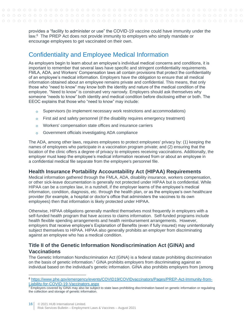provides a "facility to administer or use" the COVID-19 vaccine could have immunity under the law.<sup>6</sup> The PREP Act does not provide immunity to employers who simply mandate or encourage employees to get vaccinated on their own.

### <span id="page-15-0"></span>Confidentiality and Employee Medical Information

As employers begin to learn about an employee's individual medical concerns and conditions, it is important to remember that several laws have specific and stringent confidentiality requirements. FMLA, ADA, and Workers' Compensation laws all contain provisions that protect the confidentiality of an employee's medical information. Employers have the obligation to ensure that all medical information obtained about an employee remains private and confidential. This means, that only those who "need to know" may know both the identity and nature of the medical condition of the employee. "Need to know" is construed very narrowly. Employers should ask themselves why someone "needs to know" both identity and medical condition before disclosing either or both. The EEOC explains that those who "need to know" may include:

- Supervisors (to implement necessary work restrictions and accommodations)  $\Omega$
- First aid and safety personnel (if the disability requires emergency treatment)  $\overline{O}$
- Workers' compensation state offices and insurance carriers  $\circ$
- Government officials investigating ADA compliance  $\Omega$

The ADA, among other laws, requires employees to protect employees' privacy by: (1) keeping the names of employees who participate in a vaccination program private; and (2) ensuring that the location of the clinic offers a degree of privacy to employees receiving vaccinations. Additionally, the employer must keep the employee's medical information received from or about an employee in a confidential medical file separate from the employee's personnel file.

### <span id="page-15-1"></span>**Health Insurance Portability Accountability Act (HIPAA) Requirements**

Medical information gathered through the FMLA, ADA, disability insurance, workers compensation, or other sick-leave documentation is generally not protected under HIPAA but is confidential. While HIPAA can be a complex law, in a nutshell, if the employer learns of the employee's medical information, condition, diagnosis, etc. through the health plan, or as the employee's own healthcare provider (for example, a hospital or doctor's office that administers the vaccines to its own employees) then that information is likely protected under HIPAA.

Otherwise, HIPAA obligations generally manifest themselves most frequently in employers with a self-funded health program that have access to claims information. Self-funded programs include health flexible spending arrangements and health reimbursement arrangements. However, employers that receive employee's Explanation of Benefits (even if fully insured) may unintentionally subject themselves to HIPAA. HIPAA also generally prohibits an employer from discriminating against an employee who has a medical condition.

### <span id="page-15-2"></span>**Title II of the Genetic Information Nondiscrimination Act (GINA) and Vaccinations**

The Genetic Information [Nondiscrimination](https://1.next.westlaw.com/Document/I03f4d97feee311e28578f7ccc38dcbee/View/FullText.html?originationContext=document&transitionType=DocumentItem&contextData=(sc.Search)) Act (GINA) is a federal statute prohibiting discrimination on the basis of genetic information.<sup>7</sup> GINA prohibits employers from discriminating against an individual based on the individual's genetic information. GINA also prohibits employers from (among

<sup>6</sup> [https://www.phe.gov/emergency/events/COVID19/COVIDvaccinators/Pages/PREP-Act-Immunity-from-](https://www.phe.gov/emergency/events/COVID19/COVIDvaccinators/Pages/PREP-Act-Immunity-from-Liability-for-COVID-19-Vaccinators.aspx)[Liability-for-COVID-19-Vaccinators.aspx](https://www.phe.gov/emergency/events/COVID19/COVIDvaccinators/Pages/PREP-Act-Immunity-from-Liability-for-COVID-19-Vaccinators.aspx)

<sup>&</sup>lt;sup>7</sup> Employers covered by GINA may also be subject to state laws prohibiting discrimination based on genetic information or regulating the collection and storage of genetic information.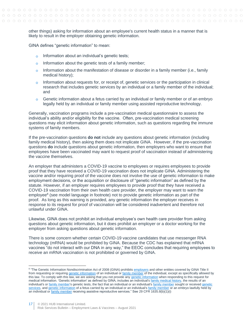other things) asking for information about an employee's current health status in a manner that is likely to result in the employer obtaining genetic information.

GINA defines "genetic information" to mean:

- Information about an individual's genetic tests;  $\circ$
- Information about the genetic tests of a family member;  $\Omega$
- Information about the manifestation of disease or disorder in a family member (i.e., family  $\Omega$ medical history);
- Information about requests for, or receipt of, genetic services or the participation in clinical  $\Omega$ research that includes genetic services by an individual or a family member of the individual; and
- Genetic information about a fetus carried by an individual or family member or of an embryo  $\overline{O}$ legally held by an individual or family member using assisted reproductive technology.

Generally, vaccination programs include a pre-vaccination medical questionnaire to assess the individual's ability and/or eligibility for the vaccine. Often, pre-vaccination medical screening questions may elicit information about genetic information, such as questions regarding the immune systems of family members.

If the pre-vaccination questions **do not** include any questions about genetic information (including family medical history), then asking them does not implicate GINA. However, if the pre-vaccination questions **do** include questions about genetic information, then employers who want to ensure that employees have been vaccinated may want to request proof of vaccination instead of administering the vaccine themselves.

An employer that administers a COVID-19 vaccine to employees or requires employees to provide proof that they have received a COVID-19 vaccination does not implicate GINA. Administering the vaccine and/or requiring proof of the vaccine does not involve the use of genetic information to make employment decisions, or the acquisition or disclosure of "genetic information" as defined by the statute. However, if an employer requires employees to provide proof that they have received a COVID-19 vaccination from their own health care provider, the employer may want to warn the employee<sup>8</sup> (see model language in footnote) not to provide genetic information as part of the proof. As long as this warning is provided, any genetic information the employer receives in response to its request for proof of vaccination will be considered inadvertent and therefore not unlawful under GINA.

Likewise, GINA does not prohibit an individual employee's own health care provider from asking questions about genetic information, but it does prohibit an employer or a doctor working for the employer from asking questions about genetic information.

There is some concern whether certain COVID-19 vaccine candidates that use messenger RNA technology (mRNA) would be prohibited by GINA. Because the CDC has explained that mRNA vaccines "do not interact with our DNA in any way," the EEOC concludes that requiring employees to receive an mRNA vaccination is not prohibited or governed by GINA.

<sup>&</sup>lt;sup>8</sup> "The Genetic Information Nondiscrimination Act of 2008 (GINA) prohibits [employers](https://www.law.cornell.edu/definitions/index.php?width=840&height=800&iframe=true&def_id=66f1144f18c0e0ec109b667ab6dd1956&term_occur=999&term_src=Title:29:Subtitle:B:Chapter:XIV:Part:1635:1635.8) and other entities covered by GINA Title II from requesting or requiring [genetic information](https://www.law.cornell.edu/definitions/index.php?width=840&height=800&iframe=true&def_id=f436e666131ebb067520725b26673b96&term_occur=999&term_src=Title:29:Subtitle:B:Chapter:XIV:Part:1635:1635.8) of an individual or [family member](https://www.law.cornell.edu/definitions/index.php?width=840&height=800&iframe=true&def_id=62c47277200dcbc752b07bc22f2bd6ec&term_occur=999&term_src=Title:29:Subtitle:B:Chapter:XIV:Part:1635:1635.8) of the individual, except as specifically allowed by this law. To comply with this law, we are asking that you not provide any [genetic information](https://www.law.cornell.edu/definitions/index.php?width=840&height=800&iframe=true&def_id=f436e666131ebb067520725b26673b96&term_occur=999&term_src=Title:29:Subtitle:B:Chapter:XIV:Part:1635:1635.8) when responding to this request for medical information. 'Genetic information' as defined by GINA, includes an individual's [family medical history,](https://www.law.cornell.edu/definitions/index.php?width=840&height=800&iframe=true&def_id=5a8721fab33d6ad0a1e474dc7dec607d&term_occur=999&term_src=Title:29:Subtitle:B:Chapter:XIV:Part:1635:1635.8) the results of an individual's or [family member's](https://www.law.cornell.edu/definitions/index.php?width=840&height=800&iframe=true&def_id=62c47277200dcbc752b07bc22f2bd6ec&term_occur=999&term_src=Title:29:Subtitle:B:Chapter:XIV:Part:1635:1635.8) genetic tests, the fact that an individual or an individual's [family member](https://www.law.cornell.edu/definitions/index.php?width=840&height=800&iframe=true&def_id=62c47277200dcbc752b07bc22f2bd6ec&term_occur=999&term_src=Title:29:Subtitle:B:Chapter:XIV:Part:1635:1635.8) sought or received genetic [services,](https://www.law.cornell.edu/definitions/index.php?width=840&height=800&iframe=true&def_id=824ef43ab439c222ea845810df652247&term_occur=999&term_src=Title:29:Subtitle:B:Chapter:XIV:Part:1635:1635.8) and [genetic information](https://www.law.cornell.edu/definitions/index.php?width=840&height=800&iframe=true&def_id=f436e666131ebb067520725b26673b96&term_occur=999&term_src=Title:29:Subtitle:B:Chapter:XIV:Part:1635:1635.8) of a fetus carried by an individual or an individual's [family member](https://www.law.cornell.edu/definitions/index.php?width=840&height=800&iframe=true&def_id=62c47277200dcbc752b07bc22f2bd6ec&term_occur=999&term_src=Title:29:Subtitle:B:Chapter:XIV:Part:1635:1635.8) or an embryo lawfully held by an individual or [family member](https://www.law.cornell.edu/definitions/index.php?width=840&height=800&iframe=true&def_id=62c47277200dcbc752b07bc22f2bd6ec&term_occur=999&term_src=Title:29:Subtitle:B:Chapter:XIV:Part:1635:1635.8) receiving assistive reproductive services." See 29 CFR 1635.8(b)(1)(i)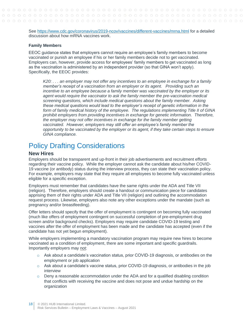#### See <https://www.cdc.gov/coronavirus/2019-ncov/vaccines/different-vaccines/mrna.html> for a detailed discussion about how mRNA vaccines work.

#### **Family Members**

EEOC guidance states that employers cannot require an employee's family members to become vaccinated or punish an employee if his or her family members decide not to get vaccinated. Employers can, however, provide access for employees' family members to get vaccinated as long as the vaccination is administered by an independent provider (so that GINA won't apply). Specifically, the EEOC provides:

*K20: . . . an employer may not offer any incentives to an employee in exchange for a family member's receipt of a vaccination from an employer or its agent. Providing such an incentive to an employee because a family member was vaccinated by the employer or its agent would require the vaccinator to ask the family member the pre-vaccination medical screening questions, which include medical questions about the family member. Asking these medical questions would lead to the employer's receipt of genetic information in the form of family medical history of the employee. The regulations implementing Title II of GINA prohibit employers from providing incentives in exchange for genetic information. Therefore, the employer may not offer incentives in exchange for the family member getting vaccinated. However, employers may still offer an employee's family member the opportunity to be vaccinated by the employer or its agent, if they take certain steps to ensure GINA compliance.*

### <span id="page-17-0"></span>Policy Drafting Considerations

#### <span id="page-17-1"></span>**New Hires**

Employers should be transparent and up-front in their job advertisements and recruitment efforts regarding their vaccine policy. While the employer cannot ask the candidate about his/her COVID-19 vaccine (or antibody) status during the interview process, they can state their vaccination policy. For example, employers may state that they require all employees to become fully vaccinated unless eligible for a specific exception.

Employers must remember that candidates have the same rights under the ADA and Title VII (religion). Therefore, employers should create a handout or communication piece for candidates apprising them of their rights under ADA and Title VII (religion) and outlining the accommodation request process. Likewise, employers also note any other exceptions under the mandate (such as pregnancy and/or breastfeeding).

Offer letters should specify that the offer of employment is contingent on becoming fully vaccinated (much like offers of employment contingent on successful completion of pre-employment drug screen and/or background checks). Employers may require candidate COVID-19 testing and vaccines after the offer of employment has been made and the candidate has accepted (even if the candidate has not yet begun employment).

While employers implementing a mandatory vaccination program may require new hires to become vaccinated as a condition of employment, there are some important and specific guardrails. Importantly employers may not:

- $\circ$  Ask about a candidate's vaccination status, prior COVID-19 diagnosis, or antibodies on the employment or job application
- $\circ$  Ask about a candidate's vaccine status, prior COVID-19 diagnosis, or antibodies in the job interview
- $\circ$  Deny a reasonable accommodation under the ADA and for a qualified disabling condition that conflicts with receiving the vaccine and does not pose and undue hardship on the organization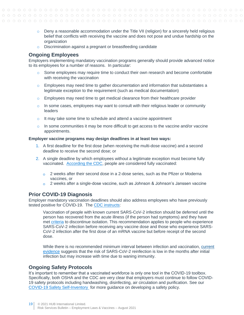- $\circ$  Deny a reasonable accommodation under the Title VII (religion) for a sincerely held religious belief that conflicts with receiving the vaccine and does not pose and undue hardship on the organization
- o Discrimination against a pregnant or breastfeeding candidate

#### <span id="page-18-0"></span>**Ongoing Employees**

Employers implementing mandatory vaccination programs generally should provide advanced notice to its employees for a number of reasons. In particular:

- $\circ$  Some employees may require time to conduct their own research and become comfortable with receiving the vaccination
- $\circ$  Employees may need time to gather documentation and information that substantiates a legitimate exception to the requirement (such as medical documentation)
- $\circ$  Employees may need time to get medical clearance from their healthcare provider
- $\circ$  In some cases, employees may want to consult with their religious leader or community leaders
- o It may take some time to schedule and attend a vaccine appointment
- $\circ$  In some communities it may be more difficult to get access to the vaccine and/or vaccine appointments.

#### **Employer vaccine programs may design deadlines in at least two ways:**

- 1. A first deadline for the first dose (when receiving the multi-dose vaccine) and a second deadline to receive the second dose; or
- 2. A single deadline by which employees without a legitimate exception must become fully vaccinated. [According the CDC,](https://www.cdc.gov/coronavirus/2019-ncov/vaccines/fully-vaccinated.html) people are considered fully vaccinated:
	- $\circ$  2 weeks after their second dose in a 2-dose series, such as the Pfizer or Moderna vaccines, or
	- $\circ$  2 weeks after a single-dose vaccine, such as Johnson & Johnson's Janssen vaccine

#### <span id="page-18-1"></span>**Prior COVID-19 Diagnosis**

Employer mandatory vaccination deadlines should also address employees who have previously tested positive for COVID-19. The [CDC instructs:](https://www.cdc.gov/vaccines/covid-19/clinical-considerations/covid-19-vaccines-us.html)

Vaccination of people with known current SARS-CoV-2 infection should be deferred until the person has recovered from the acute illness (if the person had symptoms) and they have met [criteria](https://www.cdc.gov/coronavirus/2019-ncov/hcp/disposition-in-home-patients.html) to discontinue isolation. This recommendation applies to people who experience SARS-CoV-2 infection before receiving any vaccine dose and those who experience SARS-CoV-2 infection after the first dose of an mRNA vaccine but before receipt of the second dose.

While there is no recommended minimum interval between infection and vaccination, [current](https://www.cdc.gov/coronavirus/2019-ncov/hcp/duration-isolation.html)  [evidence](https://www.cdc.gov/coronavirus/2019-ncov/hcp/duration-isolation.html) suggests that the risk of SARS-CoV-2 reinfection is low in the months after initial infection but may increase with time due to waning immunity.

#### <span id="page-18-2"></span>**Ongoing Safety Protocols**

It's important to remember that a vaccinated workforce is only one tool in the COVID-19 toolbox. Specifically, both OSHA and the CDC are very clear that employers must continue to follow COVID-19 safety protocols including handwashing, disinfecting, air circulation and purification. See our [COVID-19 Safety Self-Inventory](https://www.hubinternational.com/blog/2020/11/covid-workplace-safety-self-inventory/) for more guidance on developing a safety policy.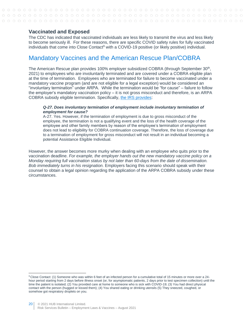#### <span id="page-19-0"></span>**Vaccinated and Exposed**

The CDC has indicated that vaccinated individuals are less likely to transmit the virus and less likely to become seriously ill. For these reasons, there are specific COVID safety rules for fully vaccinated individuals that come into Close Contact<sup>9</sup> with a COVID-19 positive (or likely positive) individual.

### <span id="page-19-1"></span>Mandatory Vaccines and the American Rescue Plan/COBRA

The American Rescue plan provides 100% employer subsidized COBRA (through September 30<sup>th</sup>, 2021) to employees who are involuntarily terminated and are covered under a COBRA eligible plan at the time of termination. Employees who are terminated for failure to become vaccinated under a mandatory vaccine program (and are not eligible for a legal exception) would be considered an "involuntary termination" under ARPA. While the termination would be "for cause" – failure to follow the employer's mandatory vaccination policy – it is not gross misconduct and therefore, is an ARPA COBRA subsidy eligible termination. Specifically, [the IRS provides:](https://www.irs.gov/pub/irs-drop/n-21-31.pdf)

#### *Q-27. Does involuntary termination of employment include involuntary termination of employment for cause?*

A-27. Yes. However, if the termination of employment is due to gross misconduct of the employee, the termination is not a qualifying event and the loss of the health coverage of the employee and other family members by reason of the employee's termination of employment does not lead to eligibility for COBRA continuation coverage. Therefore, the loss of coverage due to a termination of employment for gross misconduct will not result in an individual becoming a potential Assistance Eligible Individual.

However, the answer becomes more murky when dealing with an employee who quits prior to the vaccination deadline. *For example, the employer hands out the new mandatory vaccine policy on a Monday requiring full vaccination status by not later than 60-days from the date of dissemination. Bob immediately turns in his resignation.* Employers facing this scenario should speak with their counsel to obtain a legal opinion regarding the application of the ARPA COBRA subsidy under these circumstances.

<sup>9</sup> Close Contact: (1) Someone who was within 6 feet of an infected person for a cumulative total of 15 minutes or more over a 24 hour period starting from 2 days before illness onset (or, for asymptomatic patients, 2 days prior to test specimen collection) until the time the patient is isolated; (2) You provided care at home to someone who is sick with COVID-19; (3) You had direct physical contact with the person (hugged or kissed them); (4) You shared eating or drinking utensils (5) They sneezed, coughed, or somehow got respiratory droplets on you.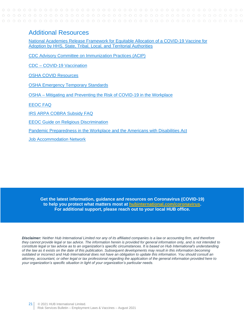### <span id="page-20-0"></span>Additional Resources

[National Academies Release Framework for Equitable Allocation of a COVID-19 Vaccine for](https://www.nationalacademies.org/news/2020/10/national-academies-release-framework-for-equitable-allocation-of-a-covid-19-vaccine-for-adoption-by-hhs-state-tribal-local-and-territorial-authorities)  [Adoption by HHS, State, Tribal, Local, and Territorial Authorities](https://www.nationalacademies.org/news/2020/10/national-academies-release-framework-for-equitable-allocation-of-a-covid-19-vaccine-for-adoption-by-hhs-state-tribal-local-and-territorial-authorities)

[CDC Advisory Committee on Immunization Practices \(ACIP\)](https://www.cdc.gov/vaccines/acip/index.html)

CDC – [COVID-19 Vaccination](https://www.cdc.gov/vaccines/covid-19/index.html)

[OSHA COVID Resources](https://www.osha.gov/coronavirus)

**[OSHA Emergency Temporary Standards](https://www.osha.gov/coronavirus/ets)** 

OSHA – [Mitigating and Preventing the Risk of COVID-19 in the Workplace](https://www.osha.gov/coronavirus/safework)

[EEOC FAQ](https://www.eeoc.gov/wysk/what-you-should-know-about-covid-19-and-ada-rehabilitation-act-and-other-eeo-laws?utm_content=&utm_medium=email&utm_name=&utm_source=govdelivery&utm_term=)

[IRS ARPA COBRA Subsidy FAQ](https://www.irs.gov/pub/irs-drop/n-21-31.pdf)

[EEOC Guide on Religious Discrimination](https://www.eeoc.gov/laws/guidance/section-12-religious-discrimination#_Toc203359523)

[Pandemic Preparedness in the Workplace and the Americans with Disabilities Act](https://www.eeoc.gov/laws/guidance/pandemic-preparedness-workplace-and-americans-disabilities-act)

[Job Accommodation Network](https://askjan.org/)

**Get the latest information, guidance and resources on Coronavirus (COVID-19) to help you protect what matters most at [hubinternational.com/coronavirus.](https://www.hubinternational.com/products/risk-services/hub-crisis-resources/coronavirus-resource-center/?utm_medium=resources&utm_source=covid_pdf&utm_campaign=covid_pdf_footer&utm_busunit=covid&utm_cmpyr=2020&utm_content=pdf_footer&utm_tstvar=&utm_spec=&partner=) For additional support, please reach out to your local HUB office.**

*Disclaimer: Neither Hub International Limited nor any of its affiliated companies is a law or accounting firm, and therefore they cannot provide legal or tax advice. The information herein is provided for general information only, and is not intended to constitute legal or tax advice as to an organization's specific circumstances. It is based on Hub International's understanding of the law as it exists on the date of this publication. Subsequent developments may result in this information becoming outdated or incorrect and Hub International does not have an obligation to update this information. You should consult an attorney, accountant, or other legal or tax professional regarding the application of the general information provided here to your organization's specific situation in light of your organization's particular needs.*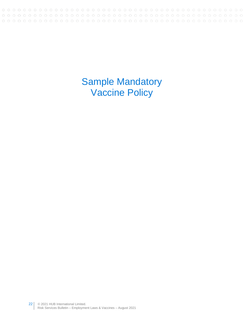<span id="page-21-0"></span>Sample Mandatory Vaccine Policy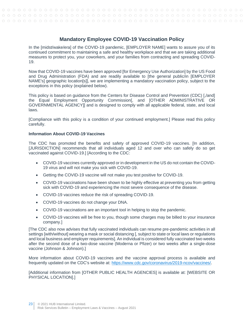#### **Mandatory Employee COVID-19 Vaccination Policy**

<span id="page-22-0"></span>In the [midst/wake/era] of the COVID-19 pandemic, [EMPLOYER NAME] wants to assure you of its continued commitment to maintaining a safe and healthy workplace and that we are taking additional measures to protect you, your coworkers, and your families from contracting and spreading COVID-19.

Now that COVID-19 vaccines have been approved [for Emergency Use Authorization] by the US Food and Drug Administration (FDA) and are readily available to [the general public/in [EMPLOYER NAME's] geographic location[s]], we are implementing a mandatory vaccination policy, subject to the exceptions in this policy (explained below).

This policy is based on guidance from the Centers for Disease Control and Prevention (CDC) [,/and] the Equal Employment Opportunity Commission[, and [OTHER ADMINISTRATIVE OR GOVERNMENTAL AGENCY]] and is designed to comply with all applicable federal, state, and local laws.

[Compliance with this policy is a condition of your continued employment.] Please read this policy carefully.

#### **Information About COVID-19 Vaccines**

The CDC has promoted the benefits and safety of approved COVID-19 vaccines. [In addition, [JURISDICTION] recommends that all individuals aged 12 and over who can safely do so get vaccinated against COVID-19.] [According to the CDC:

- COVID-19 vaccines currently approved or in development in the US do not contain the COVID-19 virus and will not make you sick with COVID-19.
- Getting the COVID-19 vaccine will not make you test positive for COVID-19.
- COVID-19 vaccinations have been shown to be highly effective at preventing you from getting sick with COVID-19 and experiencing the most severe consequence of the disease.
- COVID-19 vaccines reduce the risk of spreading COVID-19.
- COVID-19 vaccines do not change your DNA.
- COVID-19 vaccinations are an important tool in helping to stop the pandemic.
- COVID-19 vaccines will be free to you, though some charges may be billed to your insurance company.]

[The CDC also now advises that fully vaccinated individuals can resume pre-pandemic activities in all settings [with/without] wearing a mask or social distancing [, subject to state or local laws or regulations and local business and employer requirements]. An individual is considered fully vaccinated two weeks after the second dose of a two-dose vaccine (Moderna or Pfizer) or two weeks after a single-dose vaccine (Johnson & Johnson).]

More information about COVID-19 vaccines and the vaccine approval process is available and frequently updated on the CDC's website at: https://www.cdc.gov/coronavirus/2019-ncov/vaccines/.

[Additional information from [OTHER PUBLIC HEALTH AGENCIES] is available at: [WEBSITE OR PHYSICAL LOCATION].]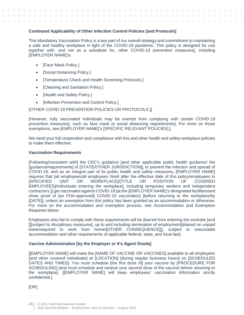#### **Continued Applicability of Other Infection Control Policies [and Protocols]**

This Mandatory Vaccination Policy is a key part of our overall strategy and commitment to maintaining a safe and healthy workplace in light of the COVID-19 pandemic. This policy is designed for use together with, and not as a substitute for, other COVID-19 prevention measures[, including [EMPLOYER NAME]'s:

- [Face Mask Policy.]
- **[Social Distancing Policy.]**
- [Temperature Check and Health Screening Protocols.]
- [Cleaning and Sanitation Policy.]
- [Health and Safety Policy.]
- [Infection Prevention and Control Policy.]

#### [OTHER COVID-19 PREVENTION POLICIES OR PROTOCOLS.]]

[However, fully vaccinated individuals may be exempt from complying with certain COVID-19 prevention measures[, such as face mask or social distancing requirements]. For more on those exemptions, see [EMPLOYER NAME]'s [SPECIFIC RELEVANT POLICIES].]

We need your full cooperation and compliance with this and other health and safety workplace policies to make them effective.

#### **Vaccination Requirements**

[Following/consistent with] the CDC's guidance [and other applicable public health guidance/ the [guidance/requirements] of [STATE/OTHER JURISDICTION]], to prevent the infection and spread of COVID-19, and as an integral part of its public health and safety measures, [EMPLOYER NAME] requires that [all employees/all employees hired after the effective date of this policy/employees in [SPECIFIED UNIT OR WORKPLACE]/[TITLE OR POSITION OF COVERED EMPLOYEES]/individuals entering the workplace[, including temporary workers and independent contractors,]] get vaccinated against COVID-19 [at the [EMPLOYER NAME]'s designated facilities/and show proof of [an FDA-approved] COVID-19 vaccination] [before returning to the workplace/by [DATE]], unless an exemption from this policy has been granted as an accommodation or otherwise. For more on the accommodation and exemption process, see Accommodation and Exemption Requests below.

Employees who fail to comply with these requirements will be [barred from entering the worksite [and ]][subject to disciplinary measures[, up to and including termination of employment]/placed on unpaid leave/required to work from home/[OTHER CONSEQUENCE]][, subject to reasonable accommodation and other requirements of applicable federal, state, and local law].

#### **Vaccine Administration [by the Employer or it's Agent Onsite]**

[[EMPLOYER NAME] will make the [NAME OF VACCINE OR VACCINES] available to all employees [and other covered individuals] at [LOCATION] [during regular business hours] on [SCHEDULED DATES AND TIMES]. You must schedule [the first dose of] your vaccine by [PROCEDURE FOR SCHEDULING] [and must schedule and receive your second dose of the vaccine before returning to the workplace]. [[EMPLOYER NAME] will keep employees' vaccination information strictly confidential.]

[OR]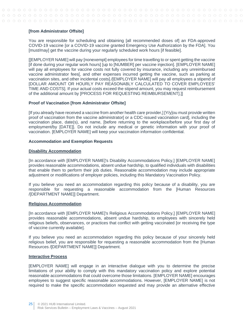#### **[from Administrator Offsite]**

You are responsible for scheduling and obtaining [all recommended doses of] an FDA-approved COVID-19 vaccine [or a COVID-19 vaccine granted Emergency Use Authorization by the FDA]. You [must/may] get the vaccine during your regularly scheduled work hours [if feasible].

[[EMPLOYER NAME] will pay [nonexempt] employees for time travelling to or spent getting the vaccine [if done during your regular work hours] [up to [NUMBER] per vaccine injection]. [EMPLOYER NAME] will pay all employees for vaccine costs not fully covered by insurance, including any unreimbursed vaccine administrator fees[, and other expenses incurred getting the vaccine, such as parking at vaccination sites, and other incidental costs]./[EMPLOYER NAME] will pay all employees a stipend of [DOLLAR AMOUNT OR HOURLY PAY REASONABLY CALCULATED TO COVER EMPLOYEES' TIME AND COSTS]. If your actual costs exceed the stipend amount, you may request reimbursement of the additional amount by [PROCESS FOR REQUESTING REIMBURSEMENT].]]

#### **Proof of Vaccination [from Administrator Offsite]**

[If you already have received a vaccine from another health care provider,] [Y/y]ou must provide written proof of vaccination from the vaccine administrator [or a CDC-issued vaccination card], including the vaccination place, date(s), and name, [before returning to the workplace/before your first day of employment/by [DATE]]. Do not include any medical or genetic information with your proof of vaccination. [EMPLOYER NAME] will keep your vaccination information confidential.

#### **Accommodation and Exemption Requests**

#### **Disability Accommodation**

[In accordance with [EMPLOYER NAME]'s Disability Accommodations Policy,] [EMPLOYER NAME] provides reasonable accommodations, absent undue hardship, to qualified individuals with disabilities that enable them to perform their job duties. Reasonable accommodation may include appropriate adjustment or modifications of employer policies, including this Mandatory Vaccination Policy.

If you believe you need an accommodation regarding this policy because of a disability, you are responsible for requesting a reasonable accommodation from the [Human Resources /[DEPARTMENT NAME]] Department.

#### **Religious Accommodation**

[In accordance with [EMPLOYER NAME]'s Religious Accommodations Policy,] [EMPLOYER NAME] provides reasonable accommodations, absent undue hardship, to employees with sincerely held religious beliefs, observances, or practices that conflict with getting vaccinated [or receiving the type of vaccine currently available].

If you believe you need an accommodation regarding this policy because of your sincerely held religious belief, you are responsible for requesting a reasonable accommodation from the [Human Resources /[DEPARTMENT NAME]] Department.

#### **Interactive Process**

[EMPLOYER NAME] will engage in an interactive dialogue with you to determine the precise limitations of your ability to comply with this mandatory vaccination policy and explore potential reasonable accommodations that could overcome those limitations. [EMPLOYER NAME] encourages employees to suggest specific reasonable accommodations. However, [EMPLOYER NAME] is not required to make the specific accommodation requested and may provide an alternative effective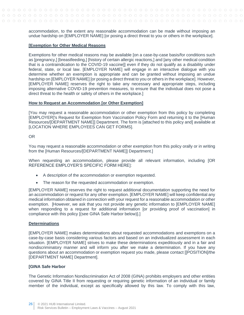accommodation, to the extent any reasonable accommodation can be made without imposing an undue hardship on [EMPLOYER NAME] [or posing a direct threat to you or others in the workplace].

#### **[Exemption for Other Medical Reasons**

Exemptions for other medical reasons may be available [on a case-by-case basis/for conditions such as [pregnancy,] [breastfeeding,] [history of certain allergic reactions,] and [any other medical condition that is a contraindication to the COVID-19 vaccine]] even if they do not qualify as a disability under federal, state, or local law. [EMPLOYER NAME] will engage in an interactive dialogue with you determine whether an exemption is appropriate and can be granted without imposing an undue hardship on [EMPLOYER NAME] [or posing a direct threat to you or others in the workplace]. However, [EMPLOYER NAME] reserves the right to take any necessary and appropriate steps, including imposing alternative COVID-19 prevention measures, to ensure that the individual does not pose a direct threat to the health or safety of others in the workplace.]

#### **How to Request an Accommodation [or Other Exemption]**

[You may request a reasonable accommodation or other exemption from this policy by completing [EMPLOYER]'s Request for Exemption from Vaccination Policy Form and returning it to the [Human Resources/[DEPARTMENT NAME]] Department. The form is [attached to this policy and] available at [LOCATION WHERE EMPLOYEES CAN GET FORMS].

#### OR

You may request a reasonable accommodation or other exemption from this policy orally or in writing from the [Human Resources/[DEPARTMENT NAME]] Department.]

When requesting an accommodation, please provide all relevant information, including [OR REFERENCE EMPLOYER'S SPECIFIC FORM HERE]:

- A description of the accommodation or exemption requested.
- The reason for the requested accommodation or exemption.

[EMPLOYER NAME] reserves the right to request additional documentation supporting the need for an accommodation or request for any other exemption. [EMPLOYER NAME] will keep confidential any medical information obtained in connection with your request for a reasonable accommodation or other exemption. [However, we ask that you not provide any genetic information to [EMPLOYER NAME] when responding to a request for additional information [or providing proof of vaccination] in compliance with this policy [(see GINA Safe Harbor below)].]

#### **Determinations**

[EMPLOYER NAME] makes determinations about requested accommodations and exemptions on a case-by-case basis considering various factors and based on an individualized assessment in each situation. [EMPLOYER NAME] strives to make these determinations expeditiously and in a fair and nondiscriminatory manner and will inform you after we make a determination. If you have any questions about an accommodation or exemption request you made, please contact [[POSITION]/the [DEPARTMENT NAME] Department].

#### **[GINA Safe Harbor**

The Genetic Information Nondiscrimination Act of 2008 (GINA) prohibits employers and other entities covered by GINA Title II from requesting or requiring genetic information of an individual or family member of the individual, except as specifically allowed by this law. To comply with this law,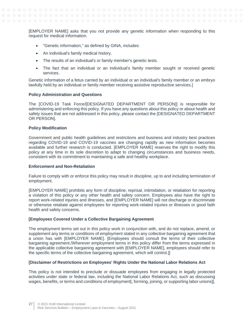[EMPLOYER NAME] asks that you not provide any genetic information when responding to this request for medical information.

- "Genetic information," as defined by GINA, includes:
- An individual's family medical history.
- The results of an individual's or family member's genetic tests.
- The fact that an individual or an individual's family member sought or received genetic services.

Genetic information of a fetus carried by an individual or an individual's family member or an embryo lawfully held by an individual or family member receiving assistive reproductive services.]

#### **Policy Administration and Questions**

The [COVID-19 Task Force/[DESIGNATED DEPARTMENT OR PERSON]] is responsible for administering and enforcing this policy. If you have any questions about this policy or about health and safety issues that are not addressed in this policy, please contact the [DESIGNATED DEPARTMENT OR PERSON].

#### **Policy Modification**

Government and public health guidelines and restrictions and business and industry best practices regarding COVID-19 and COVID-19 vaccines are changing rapidly as new information becomes available and further research is conducted. [EMPLOYER NAME] reserves the right to modify this policy at any time in its sole discretion to adapt to changing circumstances and business needs, consistent with its commitment to maintaining a safe and healthy workplace.

#### **Enforcement and Non-Retaliation**

Failure to comply with or enforce this policy may result in discipline, up to and including termination of employment.

[EMPLOYER NAME] prohibits any form of discipline, reprisal, intimidation, or retaliation for reporting a violation of this policy or any other health and safety concern. Employees also have the right to report work-related injuries and illnesses, and [EMPLOYER NAME] will not discharge or discriminate or otherwise retaliate against employees for reporting work-related injuries or illnesses or good faith health and safety concerns.

#### **[Employees Covered Under a Collective Bargaining Agreement**

The employment terms set out in this policy work in conjunction with, and do not replace, amend, or supplement any terms or conditions of employment stated in any collective bargaining agreement that a union has with [EMPLOYER NAME]. [Employees should consult the terms of their collective bargaining agreement./Wherever employment terms in this policy differ from the terms expressed in the applicable collective bargaining agreement with [EMPLOYER NAME], employees should refer to the specific terms of the collective bargaining agreement, which will control.]]

#### **[Disclaimer of Restrictions on Employees' Rights Under the National Labor Relations Act**

This policy is not intended to preclude or dissuade employees from engaging in legally protected activities under state or federal law, including the National Labor Relations Act, such as discussing wages, benefits, or terms and conditions of employment [, forming, joining, or supporting labor unions][,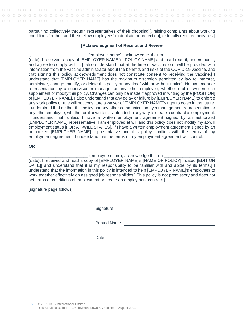bargaining collectively through representatives of their choosing][, raising complaints about working conditions for their and their fellow employees' mutual aid or protection], or legally required activities.]

#### **[Acknowledgment of Receipt and Review**

I, the same of the state of the state of the state of the state of the state of the state of the state of the s (date), I received a copy of [EMPLOYER NAME]'s [POLICY NAME] and that I read it, understood it, and agree to comply with it. [I also understand that at the time of vaccination I will be provided with information from the vaccine administrator about the benefits and risks of the COVID-19 vaccine, and that signing this policy acknowledgment does not constitute consent to receiving the vaccine.] I understand that [EMPLOYER NAME] has the maximum discretion permitted by law to interpret, administer, change, modify, or delete this policy at any time[ with or without notice]. No statement or representation by a supervisor or manager or any other employee, whether oral or written, can supplement or modify this policy. Changes can only be made if approved in writing by the [POSITION] of [EMPLOYER NAME]. I also understand that any delay or failure by [EMPLOYER NAME] to enforce any work policy or rule will not constitute a waiver of [EMPLOYER NAME]'s right to do so in the future. I understand that neither this policy nor any other communication by a management representative or any other employee, whether oral or written, is intended in any way to create a contract of employment. I understand that, unless I have a written employment agreement signed by an authorized [EMPLOYER NAME] representative, I am employed at will and this policy does not modify my at-will employment status [FOR AT-WILL STATES]. If I have a written employment agreement signed by an authorized [EMPLOYER NAME] representative and this policy conflicts with the terms of my employment agreement, I understand that the terms of my employment agreement will control.

#### **OR**

#### I, \_\_\_\_\_\_\_\_\_\_\_\_\_\_\_\_\_\_\_\_\_\_\_\_ (employee name), acknowledge that on \_\_\_\_\_\_\_\_\_\_\_\_\_\_\_\_\_\_\_\_\_\_

(date), I received and read a copy of [EMPLOYER NAME]'s [NAME OF POLICY][, dated [EDITION DATE]] and understand that it is my responsibility to be familiar with and abide by its terms.[ I understand that the information in this policy is intended to help [EMPLOYER NAME]'s employees to work together effectively on assigned job responsibilities.] This policy is not promissory and does not set terms or conditions of employment or create an employment contract.]

[signature page follows]

**Signature** 

Printed Name

**Date**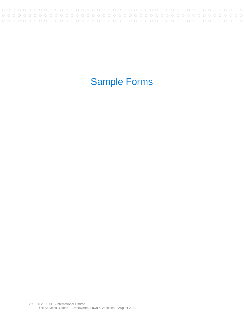# <span id="page-28-0"></span>Sample Forms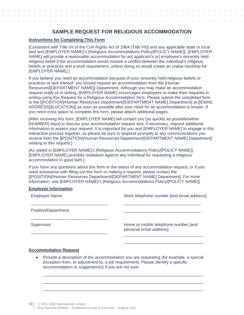#### **SAMPLE REQUEST FOR RELIGIOUS ACCOMMODATION**

#### <span id="page-29-0"></span>**Instructions for Completing This Form**

[Consistent with Title VII of the Civil Rights Act of 1964 (Title VII)[ and any applicable state or local law] and [EMPLOYER NAME]'s [Religious Accommodations Policy/[POLICY NAME]], [EMPLOYER NAME] will provide a reasonable accommodation for an[ applicant's or] employee's sincerely held religious belief if the accommodation would resolve a conflict between the individual's religious beliefs or practices and a work requirement, unless doing so would create an undue hardship for [EMPLOYER NAME].]

If you believe you need an accommodation because of your sincerely held religious beliefs or practices or lack thereof, you should request an accommodation from the [Human Resources/[DEPARTMENT NAME]] Department. Although you may make an accommodation request orally or in writing, [EMPLOYER NAME] encourages employees to make their requests in writing using this Request for a Religious Accommodation form. Please submit the completed form to the [[POSITION]/Human Resources Department/[DEPARTMENT NAME] Department] at [[EMAIL ADDRESS]/[LOCATION]] as soon as possible after your need for an accommodation is known. If you need extra space to complete this form, please attach additional pages.

[After receiving this form, [EMPLOYER NAME] will contact you [as quickly as possible/within [NUMBER] days] to discuss your accommodation request and, if necessary, request additional information to assess your request. It is important for you and [EMPLOYER NAME] to engage in this interactive process together, so please be sure to respond promptly to any communications you receive from the [[POSITION]/Human Resources Department/[DEPARTMENT NAME] Department] relating to this request.]

[As stated in [EMPLOYER NAME]'s [Religious Accommodations Policy/[POLICY NAME]], [EMPLOYER NAME] prohibits retaliation against any individual for requesting a religious accommodation in good faith.]

If you have any questions about this form or the status of any accommodation request, or if you need assistance with filling out this form or making a request, please contact the [[POSITION]/Human Resources Department/[DEPARTMENT NAME] Department]. For more information, see [EMPLOYER NAME]'s [Religious Accommodations Policy/[POLICY NAME]].

#### **Employee Information**

| <b>Employee Name:</b> | Work telephone number [and email address]:                       |
|-----------------------|------------------------------------------------------------------|
| Position/Department:  |                                                                  |
| Supervisor:           | Home or mobile telephone number [and<br>personal email address]: |
|                       |                                                                  |

#### **Accommodation Request**

• Provide a description of the accommodation you are requesting (for example, a special exception from, or adjustment to, a job requirement). Please identify a specific accommodation or suggestion(s) if you are not sure:

\_\_\_\_\_\_\_\_\_\_\_\_\_\_\_\_\_\_\_\_\_\_\_\_\_\_\_\_\_\_\_\_\_\_\_\_\_\_\_\_\_\_\_\_\_\_\_\_\_\_\_\_\_\_\_\_\_\_\_\_\_\_\_\_\_\_\_\_\_ \_\_\_\_\_\_\_\_\_\_\_\_\_\_\_\_\_\_\_\_\_\_\_\_\_\_\_\_\_\_\_\_\_\_\_\_\_\_\_\_\_\_\_\_\_\_\_\_\_\_\_\_\_\_\_\_\_\_\_\_\_\_\_\_\_\_\_\_\_ \_\_\_\_\_\_\_\_\_\_\_\_\_\_\_\_\_\_\_\_\_\_\_\_\_\_\_\_\_\_\_\_\_\_\_\_\_\_\_\_\_\_\_\_\_\_\_\_\_\_\_\_\_\_\_\_\_\_\_\_\_\_\_\_\_\_\_\_\_

\_\_\_\_\_\_\_\_\_\_\_\_\_\_\_\_\_\_\_\_\_\_\_\_\_\_\_\_\_\_\_\_\_\_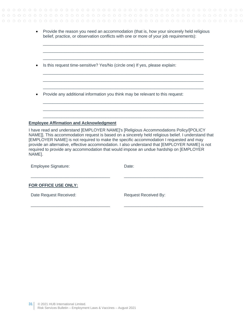• Provide the reason you need an accommodation (that is, how your sincerely held religious belief, practice, or observation conflicts with one or more of your job requirements):

\_\_\_\_\_\_\_\_\_\_\_\_\_\_\_\_\_\_\_\_\_\_\_\_\_\_\_\_\_\_\_\_\_\_\_\_\_\_\_\_\_\_\_\_\_\_\_\_\_\_\_\_\_\_\_\_\_\_\_\_\_\_\_\_\_\_\_\_\_ \_\_\_\_\_\_\_\_\_\_\_\_\_\_\_\_\_\_\_\_\_\_\_\_\_\_\_\_\_\_\_\_\_\_\_\_\_\_\_\_\_\_\_\_\_\_\_\_\_\_\_\_\_\_\_\_\_\_\_\_\_\_\_\_\_\_\_\_\_ \_\_\_\_\_\_\_\_\_\_\_\_\_\_\_\_\_\_\_\_\_\_\_\_\_\_\_\_\_\_\_\_\_\_\_\_\_\_\_\_\_\_\_\_\_\_\_\_\_\_\_\_\_\_\_\_\_\_\_\_\_\_\_\_\_\_\_\_\_

 $\Box$  $\_$  ,  $\_$  ,  $\_$  ,  $\_$  ,  $\_$  ,  $\_$  ,  $\_$  ,  $\_$  ,  $\_$  ,  $\_$  ,  $\_$  ,  $\_$  ,  $\_$  ,  $\_$  ,  $\_$  ,  $\_$  ,  $\_$  ,  $\_$  ,  $\_$  ,  $\_$  ,  $\_$  ,  $\_$  ,  $\_$  ,  $\_$  ,  $\_$  ,  $\_$  ,  $\_$  ,  $\_$  ,  $\_$  ,  $\_$  ,  $\_$  ,  $\_$  ,  $\_$  ,  $\_$  ,  $\_$  ,  $\_$  ,  $\_$  , \_\_\_\_\_\_\_\_\_\_\_\_\_\_\_\_\_\_\_\_\_\_\_\_\_\_\_\_\_\_\_\_\_\_\_\_\_\_\_\_\_\_\_\_\_\_\_\_\_\_\_\_\_\_\_\_\_\_\_\_\_\_\_\_\_\_\_\_\_

 $\Box$  $\_$  ,  $\_$  ,  $\_$  ,  $\_$  ,  $\_$  ,  $\_$  ,  $\_$  ,  $\_$  ,  $\_$  ,  $\_$  ,  $\_$  ,  $\_$  ,  $\_$  ,  $\_$  ,  $\_$  ,  $\_$  ,  $\_$  ,  $\_$  ,  $\_$  ,  $\_$  ,  $\_$  ,  $\_$  ,  $\_$  ,  $\_$  ,  $\_$  ,  $\_$  ,  $\_$  ,  $\_$  ,  $\_$  ,  $\_$  ,  $\_$  ,  $\_$  ,  $\_$  ,  $\_$  ,  $\_$  ,  $\_$  ,  $\_$  ,  $\Box$ 

- Is this request time-sensitive? Yes/No (circle one) If yes, please explain:
- Provide any additional information you think may be relevant to this request:

#### **Employee Affirmation and Acknowledgment**

\_\_\_\_\_\_\_\_\_\_\_\_\_\_\_\_\_\_\_\_\_\_\_\_\_\_\_\_\_\_\_\_\_\_

I have read and understand [EMPLOYER NAME]'s [Religious Accommodations Policy/[POLICY NAME]]. This accommodation request is based on a sincerely held religious belief. I understand that [EMPLOYER NAME] is not required to make the specific accommodation I requested and may provide an alternative, effective accommodation. I also understand that [EMPLOYER NAME] is not required to provide any accommodation that would impose an undue hardship on [EMPLOYER NAME].

| <b>Employee Signature:</b> | Date:                       |
|----------------------------|-----------------------------|
|                            |                             |
| FOR OFFICE USE ONLY:       |                             |
| Date Request Received:     | <b>Request Received By:</b> |

\_\_\_\_\_\_\_\_\_\_\_\_\_\_\_\_\_\_\_\_\_\_\_\_\_\_\_\_\_\_\_\_\_\_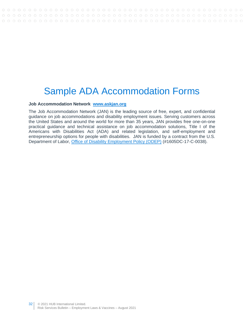## <span id="page-31-0"></span>Sample ADA Accommodation Forms

#### **Job Accommodation Network [www.askjan.org](http://www.askjan.org/)**

The Job Accommodation Network (JAN) is the leading source of free, expert, and confidential guidance on job accommodations and disability employment issues. Serving customers across the United States and around the world for more than 35 years, JAN provides free one-on-one practical guidance and technical assistance on job accommodation solutions, Title I of the Americans with Disabilities Act (ADA) and related legislation, and self-employment and entrepreneurship options for people with disabilities. JAN is funded by a contract from the U.S. Department of Labor, [Office of Disability Employment Policy \(ODEP\)](https://www.dol.gov/odep/) (#1605DC-17-C-0038).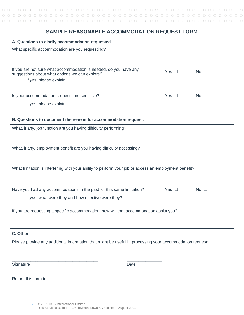### <span id="page-32-0"></span>**SAMPLE REASONABLE ACCOMMODATION REQUEST FORM**

| A. Questions to clarify accommodation requested.                                                                                               |            |                |
|------------------------------------------------------------------------------------------------------------------------------------------------|------------|----------------|
| What specific accommodation are you requesting?                                                                                                |            |                |
|                                                                                                                                                |            |                |
| If you are not sure what accommodation is needed, do you have any<br>suggestions about what options we can explore?<br>If yes, please explain. | Yes $\Box$ | $No$ $\square$ |
| Is your accommodation request time sensitive?                                                                                                  | Yes $\Box$ | No $\square$   |
| If yes, please explain.                                                                                                                        |            |                |
|                                                                                                                                                |            |                |
| B. Questions to document the reason for accommodation request.                                                                                 |            |                |
| What, if any, job function are you having difficulty performing?                                                                               |            |                |
|                                                                                                                                                |            |                |
| What, if any, employment benefit are you having difficulty accessing?                                                                          |            |                |
|                                                                                                                                                |            |                |
| What limitation is interfering with your ability to perform your job or access an employment benefit?                                          |            |                |
|                                                                                                                                                |            |                |
| Have you had any accommodations in the past for this same limitation?                                                                          | Yes $\Box$ | $No$ $\square$ |
| If yes, what were they and how effective were they?                                                                                            |            |                |
|                                                                                                                                                |            |                |
| If you are requesting a specific accommodation, how will that accommodation assist you?                                                        |            |                |
|                                                                                                                                                |            |                |
| C. Other.                                                                                                                                      |            |                |
| Please provide any additional information that might be useful in processing your accommodation request:                                       |            |                |
|                                                                                                                                                |            |                |
|                                                                                                                                                |            |                |
| Signature                                                                                                                                      | Date       |                |
|                                                                                                                                                |            |                |
|                                                                                                                                                |            |                |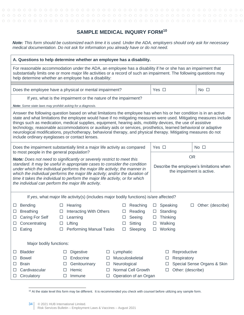#### **SAMPLE MEDICAL INQUIRY FORM<sup>10</sup>**

<span id="page-33-0"></span>*Note: This form should be customized each time it is used. Under the ADA, employers should only ask for necessary medical documentation. Do not ask for information you already have or do not need.*

|                                                                                                                          | A. Questions to help determine whether an employee has a disability.                                                                                                                                                                                                                                                                                                                                                                                                                                                                                                                             |                                                                                                                            |
|--------------------------------------------------------------------------------------------------------------------------|--------------------------------------------------------------------------------------------------------------------------------------------------------------------------------------------------------------------------------------------------------------------------------------------------------------------------------------------------------------------------------------------------------------------------------------------------------------------------------------------------------------------------------------------------------------------------------------------------|----------------------------------------------------------------------------------------------------------------------------|
|                                                                                                                          | For reasonable accommodation under the ADA, an employee has a disability if he or she has an impairment that<br>substantially limits one or more major life activities or a record of such an impairment. The following questions may<br>help determine whether an employee has a disability:                                                                                                                                                                                                                                                                                                    |                                                                                                                            |
|                                                                                                                          | Does the employee have a physical or mental impairment?                                                                                                                                                                                                                                                                                                                                                                                                                                                                                                                                          | Yes $\Box$<br>$No$ $\square$                                                                                               |
|                                                                                                                          | If yes, what is the impairment or the nature of the impairment?                                                                                                                                                                                                                                                                                                                                                                                                                                                                                                                                  |                                                                                                                            |
| Note: Some state laws may prohibit asking for a diagnosis.                                                               |                                                                                                                                                                                                                                                                                                                                                                                                                                                                                                                                                                                                  |                                                                                                                            |
| include ordinary eyeglasses or contact lenses.                                                                           | Answer the following question based on what limitations the employee has when his or her condition is in an active<br>state and what limitations the employee would have if no mitigating measures were used. Mitigating measures include<br>things such as medication, medical supplies, equipment, hearing aids, mobility devices, the use of assistive<br>technology, reasonable accommodations or auxiliary aids or services, prosthetics, learned behavioral or adaptive<br>neurological modifications, psychotherapy, behavioral therapy, and physical therapy. Mitigating measures do not |                                                                                                                            |
| to most people in the general population?                                                                                | Does the impairment substantially limit a major life activity as compared                                                                                                                                                                                                                                                                                                                                                                                                                                                                                                                        | Yes $\square$<br>No <sub>1</sub>                                                                                           |
| the individual can perform the major life activity.                                                                      | Note: Does not need to significantly or severely restrict to meet this<br>standard. It may be useful in appropriate cases to consider the condition<br>under which the individual performs the major life activity; the manner in<br>which the individual performs the major life activity; and/or the duration of<br>time it takes the individual to perform the major life activity, or for which                                                                                                                                                                                              | <b>OR</b><br>Describe the employee's limitations when<br>the impairment is active.                                         |
|                                                                                                                          | If yes, what major life activity(s) (includes major bodily functions) is/are affected?                                                                                                                                                                                                                                                                                                                                                                                                                                                                                                           |                                                                                                                            |
| Bending<br>$\Box$<br><b>Breathing</b><br>□<br><b>Caring For Self</b><br>$\Box$<br>Concentrating<br>□<br>Eating<br>$\Box$ | Reaching<br>Hearing<br>$\Box$<br><b>Interacting With Others</b><br>Reading<br>$\Box$<br>□<br>Learning<br>Seeing<br>$\Box$<br>Lifting<br>Sitting<br>$\Box$<br>□<br>Sleeping<br><b>Performing Manual Tasks</b><br>$\Box$<br>$\Box$                                                                                                                                                                                                                                                                                                                                                                 | Other: (describe)<br>Speaking<br>□<br>⊔<br>Standing<br>$\Box$<br>Thinking<br>$\Box$<br>Walking<br>$\Box$<br>$\Box$ Working |
| Major bodily functions:                                                                                                  |                                                                                                                                                                                                                                                                                                                                                                                                                                                                                                                                                                                                  |                                                                                                                            |
| <b>Bladder</b><br>⊔<br><b>Bowel</b><br>ப<br><b>Brain</b><br>ப<br>Cardivascular<br>⊔<br>Circulatory<br>⊔                  | <b>Digestive</b><br>Lymphatic<br>□<br>□<br>Endocrine<br>Musculoskeletal<br>□<br>П<br>Genitourinary<br>Neurological<br>□<br>□<br>Normal Cell Growth<br>Hemic<br>□<br>□<br>Operation of an Organ<br>Immune<br>□<br>□                                                                                                                                                                                                                                                                                                                                                                               | Reproductive<br>Ш<br>Respiratory<br>□<br>Special Sense Organs & Skin<br>□<br>Other: (describe)<br>□                        |

<sup>10</sup> At the state level this form may be different. It is recommended you check with counsel before utilizing any sample form.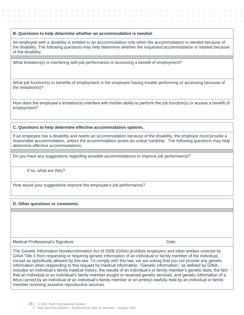#### **B. Questions to help determine whether an accommodation is needed.**

An employee with a disability is entitled to an accommodation only when the accommodation is needed because of the disability. The following questions may help determine whether the requested accommodation is needed because of the disability:

What limitation(s) is interfering with job performance or accessing a benefit of employment?

What job function(s) or benefits of employment is the employee having trouble performing or accessing because of the limitation(s)?

How does the employee's limitation(s) interfere with his/her ability to perform the job function(s) or access a benefit of employment?

#### **C. Questions to help determine effective accommodation options.**

If an employee has a disability and needs an accommodation because of the disability, the employer must provide a reasonable accommodation, unless the accommodation poses an undue hardship. The following questions may help determine effective accommodations:

Do you have any suggestions regarding possible accommodations to improve job performance?

If so, what are they?

How would your suggestions improve the employee's job performance?

#### **D. Other questions or comments.**

Medical Professional's Signature **Date of Contract Contract Contract Contract Contract Contract Contract Contract Contract Contract Contract Contract Contract Contract Contract Contract Contract Contract Contract Contract** 

The Genetic Information Nondiscrimination Act of 2008 (GINA) prohibits employers and other entities covered by GINA Title II from requesting or requiring genetic information of an individual or family member of the individual, except as specifically allowed by this law. To comply with this law, we are asking that you not provide any genetic information when responding to this request for medical information. "Genetic information," as defined by GINA, includes an individual's family medical history, the results of an individual's or family member's genetic tests, the fact that an individual or an individual's family member sought or received genetic services, and genetic information of a fetus carried by an individual or an individual's family member or an embryo lawfully held by an individual or family member receiving assistive reproductive services.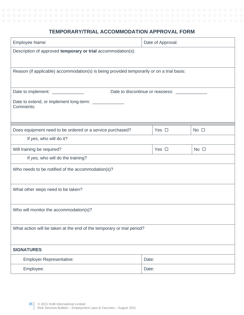### **TEMPORARY/TRIAL ACCOMMODATION APPROVAL FORM**

<span id="page-35-0"></span>

| <b>Employee Name:</b>                                                                      | Date of Approval:                              |              |
|--------------------------------------------------------------------------------------------|------------------------------------------------|--------------|
| Description of approved temporary or trial accommodation(s):                               |                                                |              |
|                                                                                            |                                                |              |
| Reason (if applicable) accommodation(s) is being provided temporarily or on a trial basis: |                                                |              |
|                                                                                            |                                                |              |
| Date to implement: ______________                                                          | Date to discontinue or reassess: _____________ |              |
| Date to extend, or implement long-term: _______________<br>Comments:                       |                                                |              |
|                                                                                            |                                                |              |
|                                                                                            |                                                |              |
| Does equipment need to be ordered or a service purchased?                                  | Yes $\Box$                                     | No $\square$ |
| If yes, who will do it?                                                                    |                                                |              |
| Will training be required?                                                                 | Yes $\Box$                                     | No $\square$ |
| If yes, who will do the training?                                                          |                                                |              |
| Who needs to be notified of the accommodation(s)?                                          |                                                |              |
|                                                                                            |                                                |              |
| What other steps need to be taken?                                                         |                                                |              |
|                                                                                            |                                                |              |
| Who will monitor the accommodation(s)?                                                     |                                                |              |
|                                                                                            |                                                |              |
| What action will be taken at the end of the temporary or trial period?                     |                                                |              |
|                                                                                            |                                                |              |
| <b>SIGNATURES</b>                                                                          |                                                |              |
| <b>Employer Representative:</b>                                                            | Date:                                          |              |
| Employee:                                                                                  | Date:                                          |              |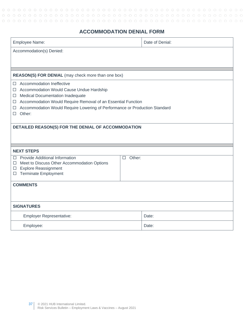### **ACCOMMODATION DENIAL FORM**

<span id="page-36-0"></span>

| Employee Name:                                                                  |                  | Date of Denial: |
|---------------------------------------------------------------------------------|------------------|-----------------|
| Accommodation(s) Denied:                                                        |                  |                 |
|                                                                                 |                  |                 |
|                                                                                 |                  |                 |
| REASON(S) FOR DENIAL (may check more than one box)                              |                  |                 |
| <b>Accommodation Ineffective</b><br>П.                                          |                  |                 |
| Accommodation Would Cause Undue Hardship<br>□                                   |                  |                 |
| Medical Documentation Inadequate<br>□                                           |                  |                 |
| Accommodation Would Require Removal of an Essential Function<br>□               |                  |                 |
| Accommodation Would Require Lowering of Performance or Production Standard<br>□ |                  |                 |
| Other:<br>П                                                                     |                  |                 |
|                                                                                 |                  |                 |
| DETAILED REASON(S) FOR THE DENIAL OF ACCOMMODATION                              |                  |                 |
|                                                                                 |                  |                 |
|                                                                                 |                  |                 |
| <b>NEXT STEPS</b>                                                               |                  |                 |
| Provide Additional Information<br>□                                             | Other:<br>$\Box$ |                 |
| Meet to Discuss Other Accommodation Options<br>□                                |                  |                 |
| <b>Explore Reassignment</b><br>□                                                |                  |                 |
| <b>Terminate Employment</b><br>ப                                                |                  |                 |
| <b>COMMENTS</b>                                                                 |                  |                 |
|                                                                                 |                  |                 |
|                                                                                 |                  |                 |
| <b>SIGNATURES</b>                                                               |                  |                 |
| <b>Employer Representative:</b>                                                 |                  | Date:           |
| Employee:                                                                       |                  | Date:           |